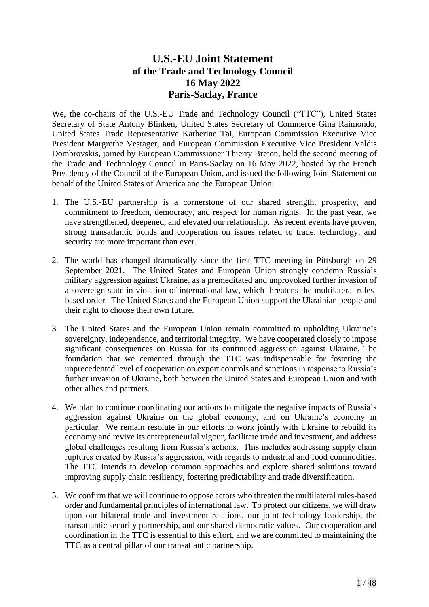# **U.S.-EU Joint Statement of the Trade and Technology Council 16 May 2022 Paris-Saclay, France**

We, the co-chairs of the U.S.-EU Trade and Technology Council ("TTC"), United States Secretary of State Antony Blinken, United States Secretary of Commerce Gina Raimondo, United States Trade Representative Katherine Tai, European Commission Executive Vice President Margrethe Vestager, and European Commission Executive Vice President Valdis Dombrovskis, joined by European Commissioner Thierry Breton, held the second meeting of the Trade and Technology Council in Paris-Saclay on 16 May 2022, hosted by the French Presidency of the Council of the European Union, and issued the following Joint Statement on behalf of the United States of America and the European Union:

- 1. The U.S.-EU partnership is a cornerstone of our shared strength, prosperity, and commitment to freedom, democracy, and respect for human rights. In the past year, we have strengthened, deepened, and elevated our relationship. As recent events have proven, strong transatlantic bonds and cooperation on issues related to trade, technology, and security are more important than ever.
- 2. The world has changed dramatically since the first TTC meeting in Pittsburgh on 29 September 2021. The United States and European Union strongly condemn Russia's military aggression against Ukraine, as a premeditated and unprovoked further invasion of a sovereign state in violation of international law, which threatens the multilateral rulesbased order. The United States and the European Union support the Ukrainian people and their right to choose their own future.
- 3. The United States and the European Union remain committed to upholding Ukraine's sovereignty, independence, and territorial integrity. We have cooperated closely to impose significant consequences on Russia for its continued aggression against Ukraine. The foundation that we cemented through the TTC was indispensable for fostering the unprecedented level of cooperation on export controls and sanctions in response to Russia's further invasion of Ukraine, both between the United States and European Union and with other allies and partners.
- 4. We plan to continue coordinating our actions to mitigate the negative impacts of Russia's aggression against Ukraine on the global economy, and on Ukraine's economy in particular. We remain resolute in our efforts to work jointly with Ukraine to rebuild its economy and revive its entrepreneurial vigour, facilitate trade and investment, and address global challenges resulting from Russia's actions. This includes addressing supply chain ruptures created by Russia's aggression, with regards to industrial and food commodities. The TTC intends to develop common approaches and explore shared solutions toward improving supply chain resiliency, fostering predictability and trade diversification.
- 5. We confirm that we will continue to oppose actors who threaten the multilateral rules-based order and fundamental principles of international law. To protect our citizens, we will draw upon our bilateral trade and investment relations, our joint technology leadership, the transatlantic security partnership, and our shared democratic values. Our cooperation and coordination in the TTC is essential to this effort, and we are committed to maintaining the TTC as a central pillar of our transatlantic partnership.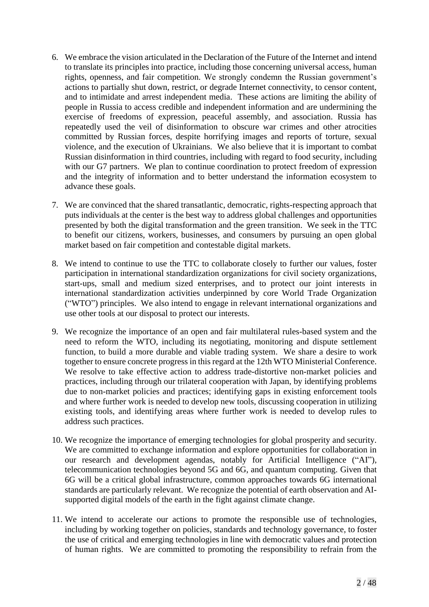- 6. We embrace the vision articulated in the Declaration of the Future of the Internet and intend to translate its principles into practice, including those concerning universal access, human rights, openness, and fair competition. We strongly condemn the Russian government's actions to partially shut down, restrict, or degrade Internet connectivity, to censor content, and to intimidate and arrest independent media. These actions are limiting the ability of people in Russia to access credible and independent information and are undermining the exercise of freedoms of expression, peaceful assembly, and association. Russia has repeatedly used the veil of disinformation to obscure war crimes and other atrocities committed by Russian forces, despite horrifying images and reports of torture, sexual violence, and the execution of Ukrainians. We also believe that it is important to combat Russian disinformation in third countries, including with regard to food security, including with our G7 partners. We plan to continue coordination to protect freedom of expression and the integrity of information and to better understand the information ecosystem to advance these goals.
- 7. We are convinced that the shared transatlantic, democratic, rights-respecting approach that puts individuals at the center is the best way to address global challenges and opportunities presented by both the digital transformation and the green transition. We seek in the TTC to benefit our citizens, workers, businesses, and consumers by pursuing an open global market based on fair competition and contestable digital markets.
- 8. We intend to continue to use the TTC to collaborate closely to further our values, foster participation in international standardization organizations for civil society organizations, start-ups, small and medium sized enterprises, and to protect our joint interests in international standardization activities underpinned by core World Trade Organization ("WTO") principles. We also intend to engage in relevant international organizations and use other tools at our disposal to protect our interests.
- 9. We recognize the importance of an open and fair multilateral rules-based system and the need to reform the WTO, including its negotiating, monitoring and dispute settlement function, to build a more durable and viable trading system. We share a desire to work together to ensure concrete progress in this regard at the 12th WTO Ministerial Conference. We resolve to take effective action to address trade-distortive non-market policies and practices, including through our trilateral cooperation with Japan, by identifying problems due to non-market policies and practices; identifying gaps in existing enforcement tools and where further work is needed to develop new tools, discussing cooperation in utilizing existing tools, and identifying areas where further work is needed to develop rules to address such practices.
- 10. We recognize the importance of emerging technologies for global prosperity and security. We are committed to exchange information and explore opportunities for collaboration in our research and development agendas, notably for Artificial Intelligence ("AI"), telecommunication technologies beyond 5G and 6G, and quantum computing. Given that 6G will be a critical global infrastructure, common approaches towards 6G international standards are particularly relevant. We recognize the potential of earth observation and AIsupported digital models of the earth in the fight against climate change.
- 11. We intend to accelerate our actions to promote the responsible use of technologies, including by working together on policies, standards and technology governance, to foster the use of critical and emerging technologies in line with democratic values and protection of human rights. We are committed to promoting the responsibility to refrain from the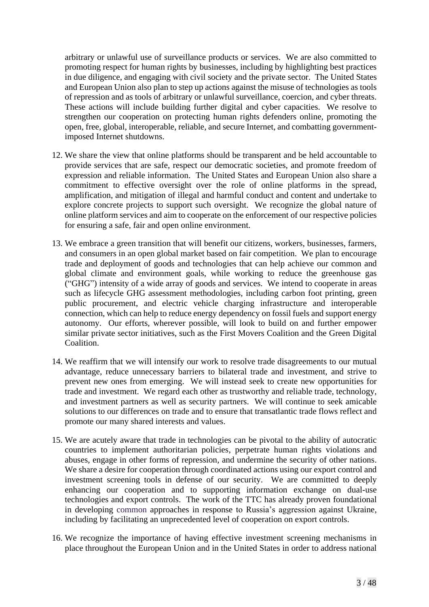arbitrary or unlawful use of surveillance products or services. We are also committed to promoting respect for human rights by businesses, including by highlighting best practices in due diligence, and engaging with civil society and the private sector. The United States and European Union also plan to step up actions against the misuse of technologies as tools of repression and as tools of arbitrary or unlawful surveillance, coercion, and cyber threats. These actions will include building further digital and cyber capacities. We resolve to strengthen our cooperation on protecting human rights defenders online, promoting the open, free, global, interoperable, reliable, and secure Internet, and combatting governmentimposed Internet shutdowns.

- 12. We share the view that online platforms should be transparent and be held accountable to provide services that are safe, respect our democratic societies, and promote freedom of expression and reliable information. The United States and European Union also share a commitment to effective oversight over the role of online platforms in the spread, amplification, and mitigation of illegal and harmful conduct and content and undertake to explore concrete projects to support such oversight. We recognize the global nature of online platform services and aim to cooperate on the enforcement of our respective policies for ensuring a safe, fair and open online environment.
- 13. We embrace a green transition that will benefit our citizens, workers, businesses, farmers, and consumers in an open global market based on fair competition. We plan to encourage trade and deployment of goods and technologies that can help achieve our common and global climate and environment goals, while working to reduce the greenhouse gas ("GHG") intensity of a wide array of goods and services. We intend to cooperate in areas such as lifecycle GHG assessment methodologies, including carbon foot printing, green public procurement, and electric vehicle charging infrastructure and interoperable connection, which can help to reduce energy dependency on fossil fuels and support energy autonomy. Our efforts, wherever possible, will look to build on and further empower similar private sector initiatives, such as the First Movers Coalition and the Green Digital Coalition.
- 14. We reaffirm that we will intensify our work to resolve trade disagreements to our mutual advantage, reduce unnecessary barriers to bilateral trade and investment, and strive to prevent new ones from emerging. We will instead seek to create new opportunities for trade and investment. We regard each other as trustworthy and reliable trade, technology, and investment partners as well as security partners. We will continue to seek amicable solutions to our differences on trade and to ensure that transatlantic trade flows reflect and promote our many shared interests and values.
- 15. We are acutely aware that trade in technologies can be pivotal to the ability of autocratic countries to implement authoritarian policies, perpetrate human rights violations and abuses, engage in other forms of repression, and undermine the security of other nations. We share a desire for cooperation through coordinated actions using our export control and investment screening tools in defense of our security. We are committed to deeply enhancing our cooperation and to supporting information exchange on dual-use technologies and export controls. The work of the TTC has already proven foundational in developing common approaches in response to Russia's aggression against Ukraine, including by facilitating an unprecedented level of cooperation on export controls.
- 16. We recognize the importance of having effective investment screening mechanisms in place throughout the European Union and in the United States in order to address national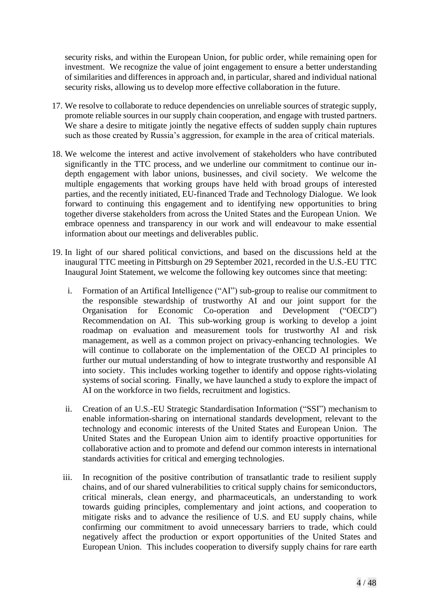security risks, and within the European Union, for public order, while remaining open for investment. We recognize the value of joint engagement to ensure a better understanding of similarities and differences in approach and, in particular, shared and individual national security risks, allowing us to develop more effective collaboration in the future.

- 17. We resolve to collaborate to reduce dependencies on unreliable sources of strategic supply, promote reliable sources in our supply chain cooperation, and engage with trusted partners. We share a desire to mitigate jointly the negative effects of sudden supply chain ruptures such as those created by Russia's aggression, for example in the area of critical materials.
- 18. We welcome the interest and active involvement of stakeholders who have contributed significantly in the TTC process, and we underline our commitment to continue our indepth engagement with labor unions, businesses, and civil society. We welcome the multiple engagements that working groups have held with broad groups of interested parties, and the recently initiated, EU-financed Trade and Technology Dialogue. We look forward to continuing this engagement and to identifying new opportunities to bring together diverse stakeholders from across the United States and the European Union. We embrace openness and transparency in our work and will endeavour to make essential information about our meetings and deliverables public.
- 19. In light of our shared political convictions, and based on the discussions held at the inaugural TTC meeting in Pittsburgh on 29 September 2021, recorded in the U.S.-EU TTC Inaugural Joint Statement, we welcome the following key outcomes since that meeting:
	- i. Formation of an Artifical Intelligence ("AI") sub-group to realise our commitment to the responsible stewardship of trustworthy AI and our joint support for the Organisation for Economic Co-operation and Development ("OECD") Recommendation on AI. This sub-working group is working to develop a joint roadmap on evaluation and measurement tools for trustworthy AI and risk management, as well as a common project on privacy-enhancing technologies. We will continue to collaborate on the implementation of the OECD AI principles to further our mutual understanding of how to integrate trustworthy and responsible AI into society. This includes working together to identify and oppose rights-violating systems of social scoring. Finally, we have launched a study to explore the impact of AI on the workforce in two fields, recruitment and logistics.
	- ii. Creation of an U.S.-EU Strategic Standardisation Information ("SSI") mechanism to enable information-sharing on international standards development, relevant to the technology and economic interests of the United States and European Union. The United States and the European Union aim to identify proactive opportunities for collaborative action and to promote and defend our common interests in international standards activities for critical and emerging technologies.
	- iii. In recognition of the positive contribution of transatlantic trade to resilient supply chains, and of our shared vulnerabilities to critical supply chains for semiconductors, critical minerals, clean energy, and pharmaceuticals, an understanding to work towards guiding principles, complementary and joint actions, and cooperation to mitigate risks and to advance the resilience of U.S. and EU supply chains, while confirming our commitment to avoid unnecessary barriers to trade, which could negatively affect the production or export opportunities of the United States and European Union.This includes cooperation to diversify supply chains for rare earth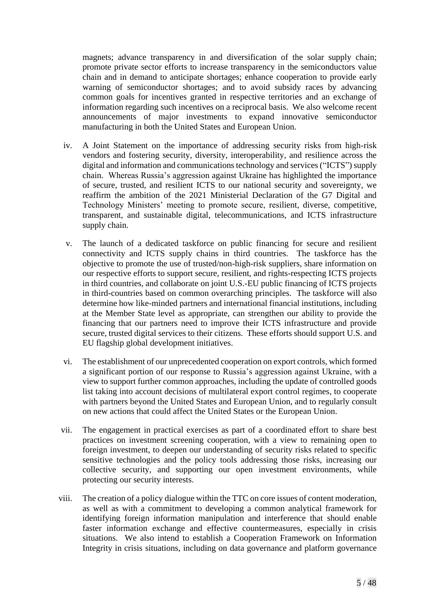magnets; advance transparency in and diversification of the solar supply chain; promote private sector efforts to increase transparency in the semiconductors value chain and in demand to anticipate shortages; enhance cooperation to provide early warning of semiconductor shortages; and to avoid subsidy races by advancing common goals for incentives granted in respective territories and an exchange of information regarding such incentives on a reciprocal basis. We also welcome recent announcements of major investments to expand innovative semiconductor manufacturing in both the United States and European Union.

- iv. A Joint Statement on the importance of addressing security risks from high-risk vendors and fostering security, diversity, interoperability, and resilience across the digital and information and communications technology and services ("ICTS") supply chain. Whereas Russia's aggression against Ukraine has highlighted the importance of secure, trusted, and resilient ICTS to our national security and sovereignty, we reaffirm the ambition of the 2021 Ministerial Declaration of the G7 Digital and Technology Ministers' meeting to promote secure, resilient, diverse, competitive, transparent, and sustainable digital, telecommunications, and ICTS infrastructure supply chain.
- v. The launch of a dedicated taskforce on public financing for secure and resilient connectivity and ICTS supply chains in third countries. The taskforce has the objective to promote the use of trusted/non-high-risk suppliers, share information on our respective efforts to support secure, resilient, and rights-respecting ICTS projects in third countries, and collaborate on joint U.S.-EU public financing of ICTS projects in third-countries based on common overarching principles. The taskforce will also determine how like-minded partners and international financial institutions, including at the Member State level as appropriate, can strengthen our ability to provide the financing that our partners need to improve their ICTS infrastructure and provide secure, trusted digital services to their citizens. These efforts should support U.S. and EU flagship global development initiatives.
- vi. The establishment of our unprecedented cooperation on export controls, which formed a significant portion of our response to Russia's aggression against Ukraine, with a view to support further common approaches, including the update of controlled goods list taking into account decisions of multilateral export control regimes, to cooperate with partners beyond the United States and European Union, and to regularly consult on new actions that could affect the United States or the European Union.
- vii. The engagement in practical exercises as part of a coordinated effort to share best practices on investment screening cooperation, with a view to remaining open to foreign investment, to deepen our understanding of security risks related to specific sensitive technologies and the policy tools addressing those risks, increasing our collective security, and supporting our open investment environments, while protecting our security interests.
- viii. The creation of a policy dialogue within the TTC on core issues of content moderation, as well as with a commitment to developing a common analytical framework for identifying foreign information manipulation and interference that should enable faster information exchange and effective countermeasures, especially in crisis situations. We also intend to establish a Cooperation Framework on Information Integrity in crisis situations, including on data governance and platform governance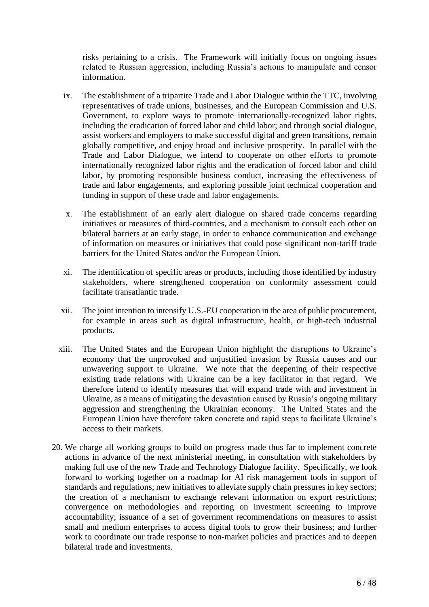risks pertaining to a crisis. The Framework will initially focus on ongoing issues related to Russian aggression, including Russia's actions to manipulate and censor information.

- ix. The establishment of a tripartite Trade and Labor Dialogue within the TTC, involving representatives of trade unions, businesses, and the European Commission and U.S. Government, to explore ways to promote internationally-recognized labor rights, including the eradication of forced labor and child labor; and through social dialogue, assist workers and employers to make successful digital and green transitions, remain globally competitive, and enjoy broad and inclusive prosperity. In parallel with the Trade and Labor Dialogue, we intend to cooperate on other efforts to promote internationally recognized labor rights and the eradication of forced labor and child labor, by promoting responsible business conduct, increasing the effectiveness of trade and labor engagements, and exploring possible joint technical cooperation and funding in support of these trade and labor engagements.
- x. The establishment of an early alert dialogue on shared trade concerns regarding initiatives or measures of third-countries, and a mechanism to consult each other on bilateral barriers at an early stage, in order to enhance communication and exchange of information on measures or initiatives that could pose significant non-tariff trade barriers for the United States and/or the European Union.
- xi. The identification of specific areas or products, including those identified by industry stakeholders, where strengthened cooperation on conformity assessment could facilitate transatlantic trade.
- xii. The joint intention to intensify U.S.-EU cooperation in the area of public procurement, for example in areas such as digital infrastructure, health, or high-tech industrial products.
- xiii. The United States and the European Union highlight the disruptions to Ukraine's economy that the unprovoked and unjustified invasion by Russia causes and our unwavering support to Ukraine. We note that the deepening of their respective existing trade relations with Ukraine can be a key facilitator in that regard. We therefore intend to identify measures that will expand trade with and investment in Ukraine, as a means of mitigating the devastation caused by Russia's ongoing military aggression and strengthening the Ukrainian economy. The United States and the European Union have therefore taken concrete and rapid steps to facilitate Ukraine's access to their markets.
- 20. We charge all working groups to build on progress made thus far to implement concrete actions in advance of the next ministerial meeting, in consultation with stakeholders by making full use of the new Trade and Technology Dialogue facility. Specifically, we look forward to working together on a roadmap for AI risk management tools in support of standards and regulations; new initiatives to alleviate supply chain pressures in key sectors; the creation of a mechanism to exchange relevant information on export restrictions; convergence on methodologies and reporting on investment screening to improve accountability; issuance of a set of government recommendations on measures to assist small and medium enterprises to access digital tools to grow their business; and further work to coordinate our trade response to non-market policies and practices and to deepen bilateral trade and investments.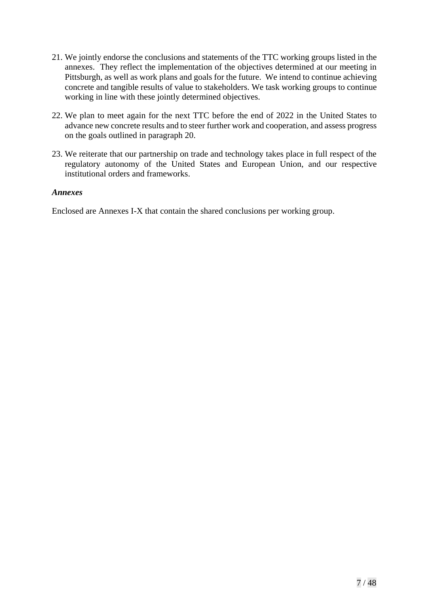- 21. We jointly endorse the conclusions and statements of the TTC working groups listed in the annexes. They reflect the implementation of the objectives determined at our meeting in Pittsburgh, as well as work plans and goals for the future. We intend to continue achieving concrete and tangible results of value to stakeholders. We task working groups to continue working in line with these jointly determined objectives.
- 22. We plan to meet again for the next TTC before the end of 2022 in the United States to advance new concrete results and to steer further work and cooperation, and assess progress on the goals outlined in paragraph 20.
- 23. We reiterate that our partnership on trade and technology takes place in full respect of the regulatory autonomy of the United States and European Union, and our respective institutional orders and frameworks.

#### *Annexes*

Enclosed are Annexes I-X that contain the shared conclusions per working group.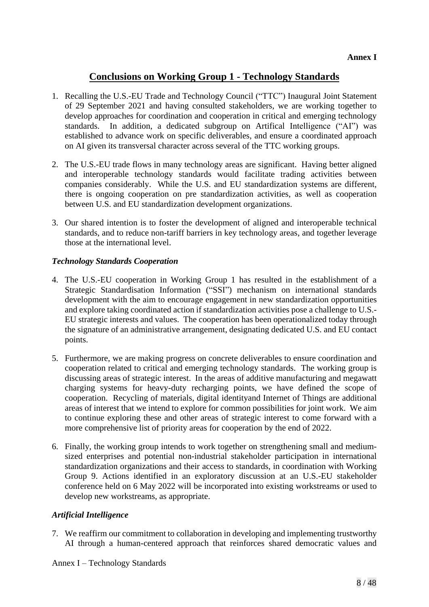# **Conclusions on Working Group 1 - Technology Standards**

- 1. Recalling the U.S.-EU Trade and Technology Council ("TTC") Inaugural Joint Statement of 29 September 2021 and having consulted stakeholders, we are working together to develop approaches for coordination and cooperation in critical and emerging technology standards. In addition, a dedicated subgroup on Artifical Intelligence ("AI") was established to advance work on specific deliverables, and ensure a coordinated approach on AI given its transversal character across several of the TTC working groups.
- 2. The U.S.-EU trade flows in many technology areas are significant. Having better aligned and interoperable technology standards would facilitate trading activities between companies considerably. While the U.S. and EU standardization systems are different, there is ongoing cooperation on pre standardization activities, as well as cooperation between U.S. and EU standardization development organizations.
- 3. Our shared intention is to foster the development of aligned and interoperable technical standards, and to reduce non-tariff barriers in key technology areas, and together leverage those at the international level.

## *Technology Standards Cooperation*

- 4. The U.S.-EU cooperation in Working Group 1 has resulted in the establishment of a Strategic Standardisation Information ("SSI") mechanism on international standards development with the aim to encourage engagement in new standardization opportunities and explore taking coordinated action if standardization activities pose a challenge to U.S.- EU strategic interests and values. The cooperation has been operationalized today through the signature of an administrative arrangement, designating dedicated U.S. and EU contact points.
- 5. Furthermore, we are making progress on concrete deliverables to ensure coordination and cooperation related to critical and emerging technology standards. The working group is discussing areas of strategic interest. In the areas of additive manufacturing and megawatt charging systems for heavy-duty recharging points, we have defined the scope of cooperation. Recycling of materials, digital identityand Internet of Things are additional areas of interest that we intend to explore for common possibilities for joint work. We aim to continue exploring these and other areas of strategic interest to come forward with a more comprehensive list of priority areas for cooperation by the end of 2022.
- 6. Finally, the working group intends to work together on strengthening small and mediumsized enterprises and potential non-industrial stakeholder participation in international standardization organizations and their access to standards, in coordination with Working Group 9. Actions identified in an exploratory discussion at an U.S.-EU stakeholder conference held on 6 May 2022 will be incorporated into existing workstreams or used to develop new workstreams, as appropriate.

## *Artificial Intelligence*

7. We reaffirm our commitment to collaboration in developing and implementing trustworthy AI through a human-centered approach that reinforces shared democratic values and

Annex I – Technology Standards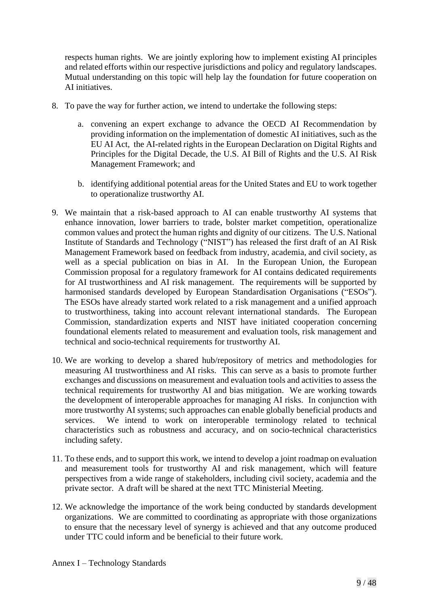respects human rights. We are jointly exploring how to implement existing AI principles and related efforts within our respective jurisdictions and policy and regulatory landscapes. Mutual understanding on this topic will help lay the foundation for future cooperation on AI initiatives.

- 8. To pave the way for further action, we intend to undertake the following steps:
	- a. convening an expert exchange to advance the OECD AI Recommendation by providing information on the implementation of domestic AI initiatives, such as the EU AI Act, the AI-related rights in the European Declaration on Digital Rights and Principles for the Digital Decade, the U.S. AI Bill of Rights and the U.S. AI Risk Management Framework; and
	- b. identifying additional potential areas for the United States and EU to work together to operationalize trustworthy AI.
- 9. We maintain that a risk-based approach to AI can enable trustworthy AI systems that enhance innovation, lower barriers to trade, bolster market competition, operationalize common values and protect the human rights and dignity of our citizens. The U.S. National Institute of Standards and Technology ("NIST") has released the first draft of an AI Risk Management Framework based on feedback from industry, academia, and civil society, as well as a special publication on bias in AI. In the European Union, the European Commission proposal for a regulatory framework for AI contains dedicated requirements for AI trustworthiness and AI risk management. The requirements will be supported by harmonised standards developed by European Standardisation Organisations ("ESOs"). The ESOs have already started work related to a risk management and a unified approach to trustworthiness, taking into account relevant international standards. The European Commission, standardization experts and NIST have initiated cooperation concerning foundational elements related to measurement and evaluation tools, risk management and technical and socio-technical requirements for trustworthy AI.
- 10. We are working to develop a shared hub/repository of metrics and methodologies for measuring AI trustworthiness and AI risks. This can serve as a basis to promote further exchanges and discussions on measurement and evaluation tools and activities to assess the technical requirements for trustworthy AI and bias mitigation. We are working towards the development of interoperable approaches for managing AI risks. In conjunction with more trustworthy AI systems; such approaches can enable globally beneficial products and services. We intend to work on interoperable terminology related to technical characteristics such as robustness and accuracy, and on socio-technical characteristics including safety.
- 11. To these ends, and to support this work, we intend to develop a joint roadmap on evaluation and measurement tools for trustworthy AI and risk management, which will feature perspectives from a wide range of stakeholders, including civil society, academia and the private sector. A draft will be shared at the next TTC Ministerial Meeting.
- 12. We acknowledge the importance of the work being conducted by standards development organizations. We are committed to coordinating as appropriate with those organizations to ensure that the necessary level of synergy is achieved and that any outcome produced under TTC could inform and be beneficial to their future work.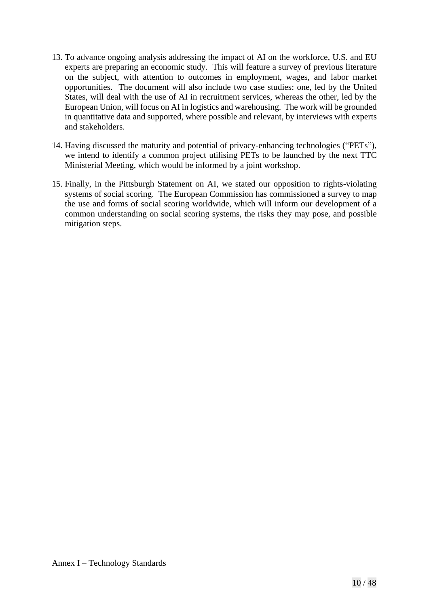- 13. To advance ongoing analysis addressing the impact of AI on the workforce, U.S. and EU experts are preparing an economic study. This will feature a survey of previous literature on the subject, with attention to outcomes in employment, wages, and labor market opportunities. The document will also include two case studies: one, led by the United States, will deal with the use of AI in recruitment services, whereas the other, led by the European Union, will focus on AI in logistics and warehousing. The work will be grounded in quantitative data and supported, where possible and relevant, by interviews with experts and stakeholders.
- 14. Having discussed the maturity and potential of privacy-enhancing technologies ("PETs"), we intend to identify a common project utilising PETs to be launched by the next TTC Ministerial Meeting, which would be informed by a joint workshop.
- 15. Finally, in the Pittsburgh Statement on AI, we stated our opposition to rights-violating systems of social scoring. The European Commission has commissioned a survey to map the use and forms of social scoring worldwide, which will inform our development of a common understanding on social scoring systems, the risks they may pose, and possible mitigation steps.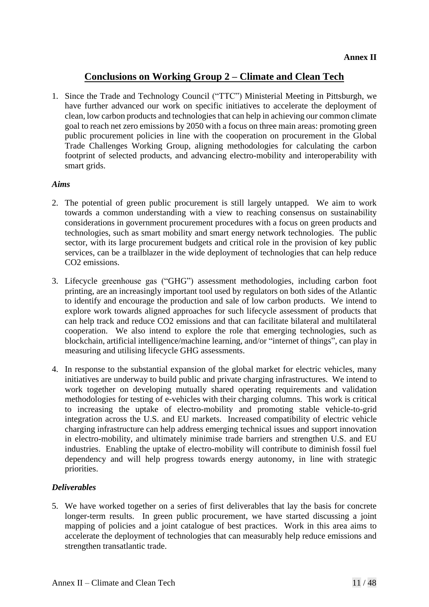## **Conclusions on Working Group 2 – Climate and Clean Tech**

1. Since the Trade and Technology Council ("TTC") Ministerial Meeting in Pittsburgh, we have further advanced our work on specific initiatives to accelerate the deployment of clean, low carbon products and technologies that can help in achieving our common climate goal to reach net zero emissions by 2050 with a focus on three main areas: promoting green public procurement policies in line with the cooperation on procurement in the Global Trade Challenges Working Group, aligning methodologies for calculating the carbon footprint of selected products, and advancing electro-mobility and interoperability with smart grids.

#### *Aims*

- 2. The potential of green public procurement is still largely untapped. We aim to work towards a common understanding with a view to reaching consensus on sustainability considerations in government procurement procedures with a focus on green products and technologies, such as smart mobility and smart energy network technologies. The public sector, with its large procurement budgets and critical role in the provision of key public services, can be a trailblazer in the wide deployment of technologies that can help reduce CO2 emissions.
- 3. Lifecycle greenhouse gas ("GHG") assessment methodologies, including carbon foot printing, are an increasingly important tool used by regulators on both sides of the Atlantic to identify and encourage the production and sale of low carbon products. We intend to explore work towards aligned approaches for such lifecycle assessment of products that can help track and reduce CO2 emissions and that can facilitate bilateral and multilateral cooperation. We also intend to explore the role that emerging technologies, such as blockchain, artificial intelligence/machine learning, and/or "internet of things", can play in measuring and utilising lifecycle GHG assessments.
- 4. In response to the substantial expansion of the global market for electric vehicles, many initiatives are underway to build public and private charging infrastructures. We intend to work together on developing mutually shared operating requirements and validation methodologies for testing of e-vehicles with their charging columns. This work is critical to increasing the uptake of electro-mobility and promoting stable vehicle-to-grid integration across the U.S. and EU markets. Increased compatibility of electric vehicle charging infrastructure can help address emerging technical issues and support innovation in electro-mobility, and ultimately minimise trade barriers and strengthen U.S. and EU industries. Enabling the uptake of electro-mobility will contribute to diminish fossil fuel dependency and will help progress towards energy autonomy, in line with strategic priorities.

## *Deliverables*

5. We have worked together on a series of first deliverables that lay the basis for concrete longer-term results. In green public procurement, we have started discussing a joint mapping of policies and a joint catalogue of best practices. Work in this area aims to accelerate the deployment of technologies that can measurably help reduce emissions and strengthen transatlantic trade.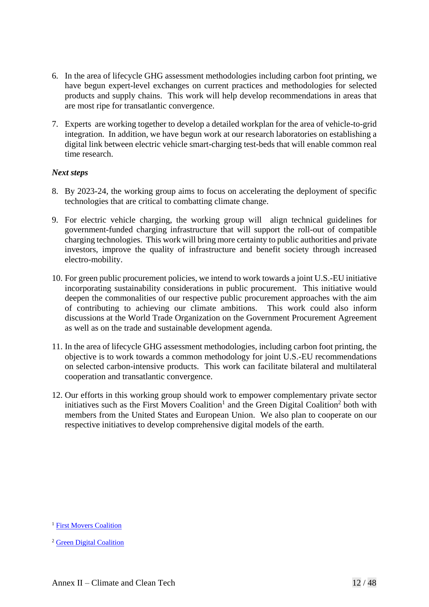- 6. In the area of lifecycle GHG assessment methodologies including carbon foot printing, we have begun expert-level exchanges on current practices and methodologies for selected products and supply chains. This work will help develop recommendations in areas that are most ripe for transatlantic convergence.
- 7. Experts are working together to develop a detailed workplan for the area of vehicle-to-grid integration. In addition, we have begun work at our research laboratories on establishing a digital link between electric vehicle smart-charging test-beds that will enable common real time research.

## *Next steps*

- 8. By 2023-24, the working group aims to focus on accelerating the deployment of specific technologies that are critical to combatting climate change.
- 9. For electric vehicle charging, the working group will align technical guidelines for government-funded charging infrastructure that will support the roll-out of compatible charging technologies. This work will bring more certainty to public authorities and private investors, improve the quality of infrastructure and benefit society through increased electro-mobility.
- 10. For green public procurement policies, we intend to work towards a joint U.S.-EU initiative incorporating sustainability considerations in public procurement. This initiative would deepen the commonalities of our respective public procurement approaches with the aim of contributing to achieving our climate ambitions. This work could also inform discussions at the World Trade Organization on the Government Procurement Agreement as well as on the trade and sustainable development agenda.
- 11. In the area of lifecycle GHG assessment methodologies, including carbon foot printing, the objective is to work towards a common methodology for joint U.S.-EU recommendations on selected carbon-intensive products. This work can facilitate bilateral and multilateral cooperation and transatlantic convergence.
- 12. Our efforts in this working group should work to empower complementary private sector initiatives such as the First Movers Coalition<sup>1</sup> and the Green Digital Coalition<sup>2</sup> both with members from the United States and European Union. We also plan to cooperate on our respective initiatives to develop comprehensive digital models of the earth.

<sup>&</sup>lt;sup>1</sup> [First Movers Coalition](https://www.weforum.org/first-movers-coalition)

<sup>2</sup> [Green Digital Coalition](https://www.greendigitalcoalition.eu/)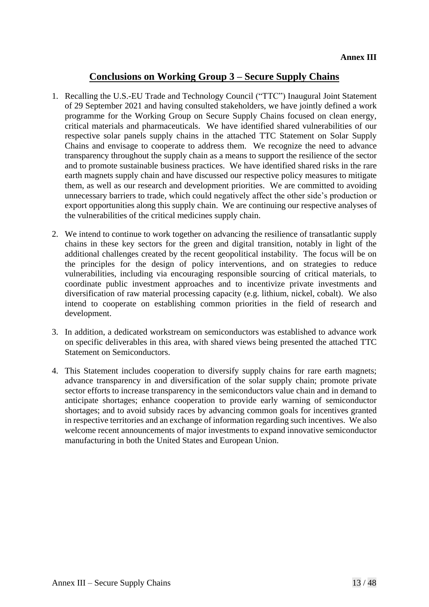# **Conclusions on Working Group 3 – Secure Supply Chains**

- 1. Recalling the U.S.-EU Trade and Technology Council ("TTC") Inaugural Joint Statement of 29 September 2021 and having consulted stakeholders, we have jointly defined a work programme for the Working Group on Secure Supply Chains focused on clean energy, critical materials and pharmaceuticals. We have identified shared vulnerabilities of our respective solar panels supply chains in the attached TTC Statement on Solar Supply Chains and envisage to cooperate to address them. We recognize the need to advance transparency throughout the supply chain as a means to support the resilience of the sector and to promote sustainable business practices. We have identified shared risks in the rare earth magnets supply chain and have discussed our respective policy measures to mitigate them, as well as our research and development priorities. We are committed to avoiding unnecessary barriers to trade, which could negatively affect the other side's production or export opportunities along this supply chain. We are continuing our respective analyses of the vulnerabilities of the critical medicines supply chain.
- 2. We intend to continue to work together on advancing the resilience of transatlantic supply chains in these key sectors for the green and digital transition, notably in light of the additional challenges created by the recent geopolitical instability. The focus will be on the principles for the design of policy interventions, and on strategies to reduce vulnerabilities, including via encouraging responsible sourcing of critical materials, to coordinate public investment approaches and to incentivize private investments and diversification of raw material processing capacity (e.g. lithium, nickel, cobalt). We also intend to cooperate on establishing common priorities in the field of research and development.
- 3. In addition, a dedicated workstream on semiconductors was established to advance work on specific deliverables in this area, with shared views being presented the attached TTC Statement on Semiconductors.
- 4. This Statement includes cooperation to diversify supply chains for rare earth magnets; advance transparency in and diversification of the solar supply chain; promote private sector efforts to increase transparency in the semiconductors value chain and in demand to anticipate shortages; enhance cooperation to provide early warning of semiconductor shortages; and to avoid subsidy races by advancing common goals for incentives granted in respective territories and an exchange of information regarding such incentives. We also welcome recent announcements of major investments to expand innovative semiconductor manufacturing in both the United States and European Union.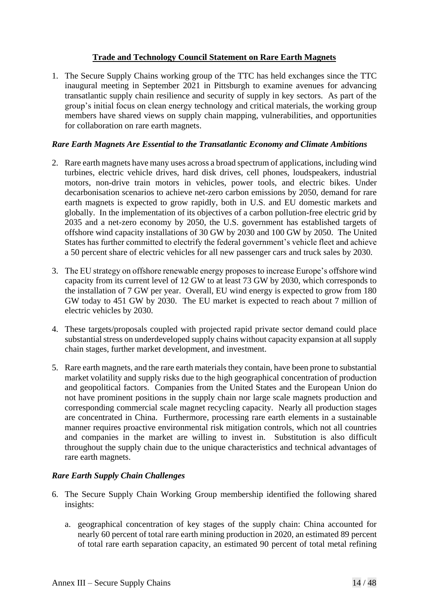## **Trade and Technology Council Statement on Rare Earth Magnets**

1. The Secure Supply Chains working group of the TTC has held exchanges since the TTC inaugural meeting in September 2021 in Pittsburgh to examine avenues for advancing transatlantic supply chain resilience and security of supply in key sectors. As part of the group's initial focus on clean energy technology and critical materials, the working group members have shared views on supply chain mapping, vulnerabilities, and opportunities for collaboration on rare earth magnets.

## *Rare Earth Magnets Are Essential to the Transatlantic Economy and Climate Ambitions*

- 2. Rare earth magnets have many uses across a broad spectrum of applications, including wind turbines, electric vehicle drives, hard disk drives, cell phones, loudspeakers, industrial motors, non-drive train motors in vehicles, power tools, and electric bikes. Under decarbonisation scenarios to achieve net-zero carbon emissions by 2050, demand for rare earth magnets is expected to grow rapidly, both in U.S. and EU domestic markets and globally. In the implementation of its objectives of a carbon pollution-free electric grid by 2035 and a net-zero economy by 2050, the U.S. government has established targets of offshore wind capacity installations of 30 GW by 2030 and 100 GW by 2050. The United States has further committed to electrify the federal government's vehicle fleet and achieve a 50 percent share of electric vehicles for all new passenger cars and truck sales by 2030.
- 3. The EU strategy on offshore renewable energy proposes to increase Europe's offshore wind capacity from its current level of 12 GW to at least 73 GW by 2030, which corresponds to the installation of 7 GW per year. Overall, EU wind energy is expected to grow from 180 GW today to 451 GW by 2030. The EU market is expected to reach about 7 million of electric vehicles by 2030.
- 4. These targets/proposals coupled with projected rapid private sector demand could place substantial stress on underdeveloped supply chains without capacity expansion at all supply chain stages, further market development, and investment.
- 5. Rare earth magnets, and the rare earth materials they contain, have been prone to substantial market volatility and supply risks due to the high geographical concentration of production and geopolitical factors. Companies from the United States and the European Union do not have prominent positions in the supply chain nor large scale magnets production and corresponding commercial scale magnet recycling capacity. Nearly all production stages are concentrated in China. Furthermore, processing rare earth elements in a sustainable manner requires proactive environmental risk mitigation controls, which not all countries and companies in the market are willing to invest in. Substitution is also difficult throughout the supply chain due to the unique characteristics and technical advantages of rare earth magnets.

## *Rare Earth Supply Chain Challenges*

- 6. The Secure Supply Chain Working Group membership identified the following shared insights:
	- a. geographical concentration of key stages of the supply chain: China accounted for nearly 60 percent of total rare earth mining production in 2020, an estimated 89 percent of total rare earth separation capacity, an estimated 90 percent of total metal refining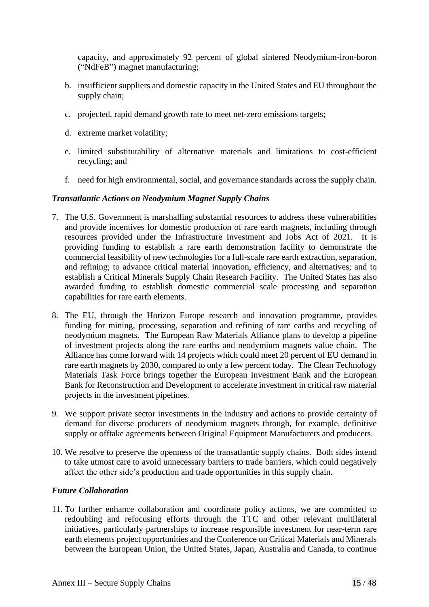capacity, and approximately 92 percent of global sintered Neodymium-iron-boron ("NdFeB") magnet manufacturing;

- b. insufficient suppliers and domestic capacity in the United States and EU throughout the supply chain;
- c. projected, rapid demand growth rate to meet net-zero emissions targets;
- d. extreme market volatility;
- e. limited substitutability of alternative materials and limitations to cost-efficient recycling; and
- f. need for high environmental, social, and governance standards across the supply chain.

#### *Transatlantic Actions on Neodymium Magnet Supply Chains*

- 7. The U.S. Government is marshalling substantial resources to address these vulnerabilities and provide incentives for domestic production of rare earth magnets, including through resources provided under the Infrastructure Investment and Jobs Act of 2021. It is providing funding to establish a rare earth demonstration facility to demonstrate the commercial feasibility of new technologies for a full-scale rare earth extraction, separation, and refining; to advance critical material innovation, efficiency, and alternatives; and to establish a Critical Minerals Supply Chain Research Facility. The United States has also awarded funding to establish domestic commercial scale processing and separation capabilities for rare earth elements.
- 8. The EU, through the Horizon Europe research and innovation programme, provides funding for mining, processing, separation and refining of rare earths and recycling of neodymium magnets. The European Raw Materials Alliance plans to develop a pipeline of investment projects along the rare earths and neodymium magnets value chain. The Alliance has come forward with 14 projects which could meet 20 percent of EU demand in rare earth magnets by 2030, compared to only a few percent today. The Clean Technology Materials Task Force brings together the European Investment Bank and the European Bank for Reconstruction and Development to accelerate investment in critical raw material projects in the investment pipelines.
- 9. We support private sector investments in the industry and actions to provide certainty of demand for diverse producers of neodymium magnets through, for example, definitive supply or offtake agreements between Original Equipment Manufacturers and producers.
- 10. We resolve to preserve the openness of the transatlantic supply chains. Both sides intend to take utmost care to avoid unnecessary barriers to trade barriers, which could negatively affect the other side's production and trade opportunities in this supply chain.

#### *Future Collaboration*

11. To further enhance collaboration and coordinate policy actions, we are committed to redoubling and refocusing efforts through the TTC and other relevant multilateral initiatives, particularly partnerships to increase responsible investment for near-term rare earth elements project opportunities and the Conference on Critical Materials and Minerals between the European Union, the United States, Japan, Australia and Canada, to continue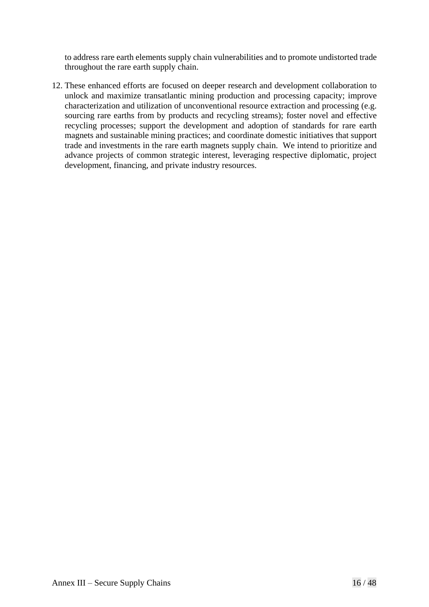to address rare earth elements supply chain vulnerabilities and to promote undistorted trade throughout the rare earth supply chain.

12. These enhanced efforts are focused on deeper research and development collaboration to unlock and maximize transatlantic mining production and processing capacity; improve characterization and utilization of unconventional resource extraction and processing (e.g. sourcing rare earths from by products and recycling streams); foster novel and effective recycling processes; support the development and adoption of standards for rare earth magnets and sustainable mining practices; and coordinate domestic initiatives that support trade and investments in the rare earth magnets supply chain. We intend to prioritize and advance projects of common strategic interest, leveraging respective diplomatic, project development, financing, and private industry resources.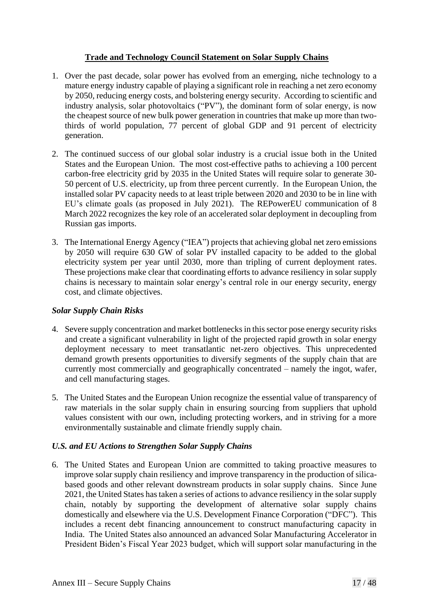## **Trade and Technology Council Statement on Solar Supply Chains**

- 1. Over the past decade, solar power has evolved from an emerging, niche technology to a mature energy industry capable of playing a significant role in reaching a net zero economy by 2050, reducing energy costs, and bolstering energy security. According to scientific and industry analysis, solar photovoltaics ("PV"), the dominant form of solar energy, is now the cheapest source of new bulk power generation in countries that make up more than twothirds of world population, 77 percent of global GDP and 91 percent of electricity generation.
- 2. The continued success of our global solar industry is a crucial issue both in the United States and the European Union. The most cost-effective paths to achieving a 100 percent carbon-free electricity grid by 2035 in the United States will require solar to generate 30- 50 percent of U.S. electricity, up from three percent currently. In the European Union, the installed solar PV capacity needs to at least triple between 2020 and 2030 to be in line with EU's climate goals (as proposed in July 2021). The REPowerEU communication of 8 March 2022 recognizes the key role of an accelerated solar deployment in decoupling from Russian gas imports.
- 3. The International Energy Agency ("IEA") projects that achieving global net zero emissions by 2050 will require 630 GW of solar PV installed capacity to be added to the global electricity system per year until 2030, more than tripling of current deployment rates. These projections make clear that coordinating efforts to advance resiliency in solar supply chains is necessary to maintain solar energy's central role in our energy security, energy cost, and climate objectives.

## *Solar Supply Chain Risks*

- 4. Severe supply concentration and market bottlenecks in this sector pose energy security risks and create a significant vulnerability in light of the projected rapid growth in solar energy deployment necessary to meet transatlantic net-zero objectives. This unprecedented demand growth presents opportunities to diversify segments of the supply chain that are currently most commercially and geographically concentrated – namely the ingot, wafer, and cell manufacturing stages.
- 5. The United States and the European Union recognize the essential value of transparency of raw materials in the solar supply chain in ensuring sourcing from suppliers that uphold values consistent with our own, including protecting workers, and in striving for a more environmentally sustainable and climate friendly supply chain.

## *U.S. and EU Actions to Strengthen Solar Supply Chains*

6. The United States and European Union are committed to taking proactive measures to improve solar supply chain resiliency and improve transparency in the production of silicabased goods and other relevant downstream products in solar supply chains. Since June 2021, the United States has taken a series of actions to advance resiliency in the solar supply chain, notably by supporting the development of alternative solar supply chains domestically and elsewhere via the U.S. Development Finance Corporation ("DFC"). This includes a recent debt financing announcement to construct manufacturing capacity in India. The United States also announced an advanced Solar Manufacturing Accelerator in President Biden's Fiscal Year 2023 budget, which will support solar manufacturing in the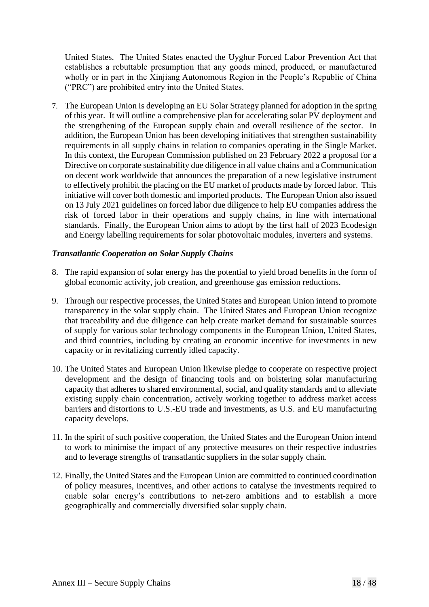United States. The United States enacted the Uyghur Forced Labor Prevention Act that establishes a rebuttable presumption that any goods mined, produced, or manufactured wholly or in part in the Xinjiang Autonomous Region in the People's Republic of China ("PRC") are prohibited entry into the United States.

7. The European Union is developing an EU Solar Strategy planned for adoption in the spring of this year. It will outline a comprehensive plan for accelerating solar PV deployment and the strengthening of the European supply chain and overall resilience of the sector. In addition, the European Union has been developing initiatives that strengthen sustainability requirements in all supply chains in relation to companies operating in the Single Market. In this context, the European Commission published on 23 February 2022 a proposal for a Directive on corporate sustainability due diligence in all value chains and a Communication on decent work worldwide that announces the preparation of a new legislative instrument to effectively prohibit the placing on the EU market of products made by forced labor. This initiative will cover both domestic and imported products. The European Union also issued on 13 July 2021 guidelines on forced labor due diligence to help EU companies address the risk of forced labor in their operations and supply chains, in line with international standards. Finally, the European Union aims to adopt by the first half of 2023 Ecodesign and Energy labelling requirements for solar photovoltaic modules, inverters and systems.

## *Transatlantic Cooperation on Solar Supply Chains*

- 8. The rapid expansion of solar energy has the potential to yield broad benefits in the form of global economic activity, job creation, and greenhouse gas emission reductions.
- 9. Through our respective processes, the United States and European Union intend to promote transparency in the solar supply chain. The United States and European Union recognize that traceability and due diligence can help create market demand for sustainable sources of supply for various solar technology components in the European Union, United States, and third countries, including by creating an economic incentive for investments in new capacity or in revitalizing currently idled capacity.
- 10. The United States and European Union likewise pledge to cooperate on respective project development and the design of financing tools and on bolstering solar manufacturing capacity that adheres to shared environmental, social, and quality standards and to alleviate existing supply chain concentration, actively working together to address market access barriers and distortions to U.S.-EU trade and investments, as U.S. and EU manufacturing capacity develops.
- 11. In the spirit of such positive cooperation, the United States and the European Union intend to work to minimise the impact of any protective measures on their respective industries and to leverage strengths of transatlantic suppliers in the solar supply chain.
- 12. Finally, the United States and the European Union are committed to continued coordination of policy measures, incentives, and other actions to catalyse the investments required to enable solar energy's contributions to net-zero ambitions and to establish a more geographically and commercially diversified solar supply chain.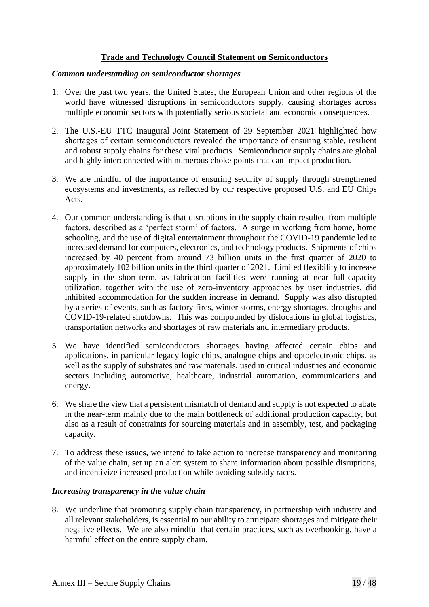## **Trade and Technology Council Statement on Semiconductors**

#### *Common understanding on semiconductor shortages*

- 1. Over the past two years, the United States, the European Union and other regions of the world have witnessed disruptions in semiconductors supply, causing shortages across multiple economic sectors with potentially serious societal and economic consequences.
- 2. The U.S.-EU TTC Inaugural Joint Statement of 29 September 2021 highlighted how shortages of certain semiconductors revealed the importance of ensuring stable, resilient and robust supply chains for these vital products. Semiconductor supply chains are global and highly interconnected with numerous choke points that can impact production.
- 3. We are mindful of the importance of ensuring security of supply through strengthened ecosystems and investments, as reflected by our respective proposed U.S. and EU Chips Acts.
- 4. Our common understanding is that disruptions in the supply chain resulted from multiple factors, described as a 'perfect storm' of factors. A surge in working from home, home schooling, and the use of digital entertainment throughout the COVID-19 pandemic led to increased demand for computers, electronics, and technology products. Shipments of chips increased by 40 percent from around 73 billion units in the first quarter of 2020 to approximately 102 billion units in the third quarter of 2021. Limited flexibility to increase supply in the short-term, as fabrication facilities were running at near full-capacity utilization, together with the use of zero-inventory approaches by user industries, did inhibited accommodation for the sudden increase in demand. Supply was also disrupted by a series of events, such as factory fires, winter storms, energy shortages, droughts and COVID-19-related shutdowns. This was compounded by dislocations in global logistics, transportation networks and shortages of raw materials and intermediary products.
- 5. We have identified semiconductors shortages having affected certain chips and applications, in particular legacy logic chips, analogue chips and optoelectronic chips, as well as the supply of substrates and raw materials, used in critical industries and economic sectors including automotive, healthcare, industrial automation, communications and energy.
- 6. We share the view that a persistent mismatch of demand and supply is not expected to abate in the near-term mainly due to the main bottleneck of additional production capacity, but also as a result of constraints for sourcing materials and in assembly, test, and packaging capacity.
- 7. To address these issues, we intend to take action to increase transparency and monitoring of the value chain, set up an alert system to share information about possible disruptions, and incentivize increased production while avoiding subsidy races.

## *Increasing transparency in the value chain*

8. We underline that promoting supply chain transparency, in partnership with industry and all relevant stakeholders, is essential to our ability to anticipate shortages and mitigate their negative effects. We are also mindful that certain practices, such as overbooking, have a harmful effect on the entire supply chain.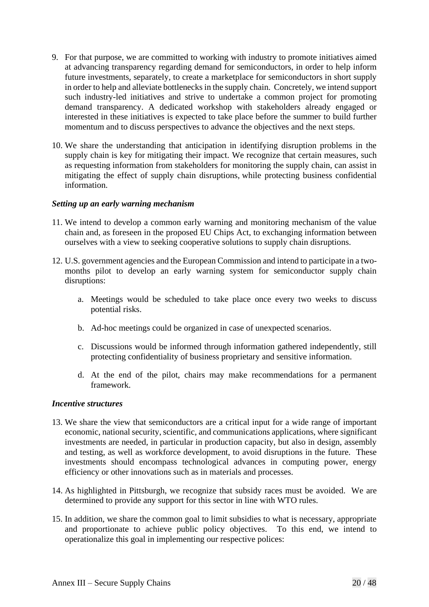- 9. For that purpose, we are committed to working with industry to promote initiatives aimed at advancing transparency regarding demand for semiconductors, in order to help inform future investments, separately, to create a marketplace for semiconductors in short supply in order to help and alleviate bottlenecks in the supply chain. Concretely, we intend support such industry-led initiatives and strive to undertake a common project for promoting demand transparency. A dedicated workshop with stakeholders already engaged or interested in these initiatives is expected to take place before the summer to build further momentum and to discuss perspectives to advance the objectives and the next steps.
- 10. We share the understanding that anticipation in identifying disruption problems in the supply chain is key for mitigating their impact. We recognize that certain measures, such as requesting information from stakeholders for monitoring the supply chain, can assist in mitigating the effect of supply chain disruptions, while protecting business confidential information.

#### *Setting up an early warning mechanism*

- 11. We intend to develop a common early warning and monitoring mechanism of the value chain and, as foreseen in the proposed EU Chips Act, to exchanging information between ourselves with a view to seeking cooperative solutions to supply chain disruptions.
- 12. U.S. government agencies and the European Commission and intend to participate in a twomonths pilot to develop an early warning system for semiconductor supply chain disruptions:
	- a. Meetings would be scheduled to take place once every two weeks to discuss potential risks.
	- b. Ad-hoc meetings could be organized in case of unexpected scenarios.
	- c. Discussions would be informed through information gathered independently, still protecting confidentiality of business proprietary and sensitive information.
	- d. At the end of the pilot, chairs may make recommendations for a permanent framework.

#### *Incentive structures*

- 13. We share the view that semiconductors are a critical input for a wide range of important economic, national security, scientific, and communications applications, where significant investments are needed, in particular in production capacity, but also in design, assembly and testing, as well as workforce development, to avoid disruptions in the future. These investments should encompass technological advances in computing power, energy efficiency or other innovations such as in materials and processes.
- 14. As highlighted in Pittsburgh, we recognize that subsidy races must be avoided. We are determined to provide any support for this sector in line with WTO rules.
- 15. In addition, we share the common goal to limit subsidies to what is necessary, appropriate and proportionate to achieve public policy objectives. To this end, we intend to operationalize this goal in implementing our respective polices: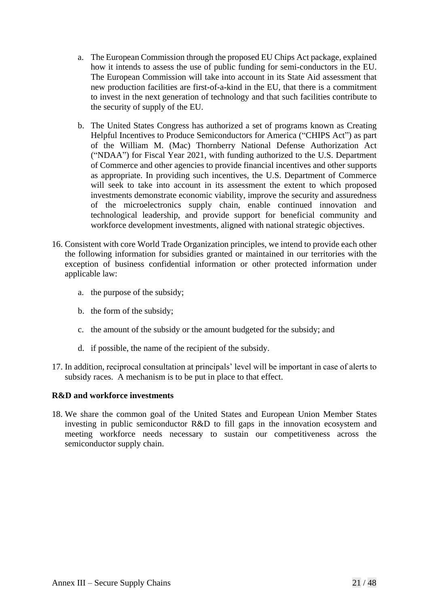- a. The European Commission through the proposed EU Chips Act package, explained how it intends to assess the use of public funding for semi-conductors in the EU. The European Commission will take into account in its State Aid assessment that new production facilities are first-of-a-kind in the EU, that there is a commitment to invest in the next generation of technology and that such facilities contribute to the security of supply of the EU.
- b. The United States Congress has authorized a set of programs known as Creating Helpful Incentives to Produce Semiconductors for America ("CHIPS Act") as part of the William M. (Mac) Thornberry National Defense Authorization Act ("NDAA") for Fiscal Year 2021, with funding authorized to the U.S. Department of Commerce and other agencies to provide financial incentives and other supports as appropriate. In providing such incentives, the U.S. Department of Commerce will seek to take into account in its assessment the extent to which proposed investments demonstrate economic viability, improve the security and assuredness of the microelectronics supply chain, enable continued innovation and technological leadership, and provide support for beneficial community and workforce development investments, aligned with national strategic objectives.
- 16. Consistent with core World Trade Organization principles, we intend to provide each other the following information for subsidies granted or maintained in our territories with the exception of business confidential information or other protected information under applicable law:
	- a. the purpose of the subsidy;
	- b. the form of the subsidy;
	- c. the amount of the subsidy or the amount budgeted for the subsidy; and
	- d. if possible, the name of the recipient of the subsidy.
- 17. In addition, reciprocal consultation at principals' level will be important in case of alerts to subsidy races. A mechanism is to be put in place to that effect.

#### **R&D and workforce investments**

18. We share the common goal of the United States and European Union Member States investing in public semiconductor R&D to fill gaps in the innovation ecosystem and meeting workforce needs necessary to sustain our competitiveness across the semiconductor supply chain.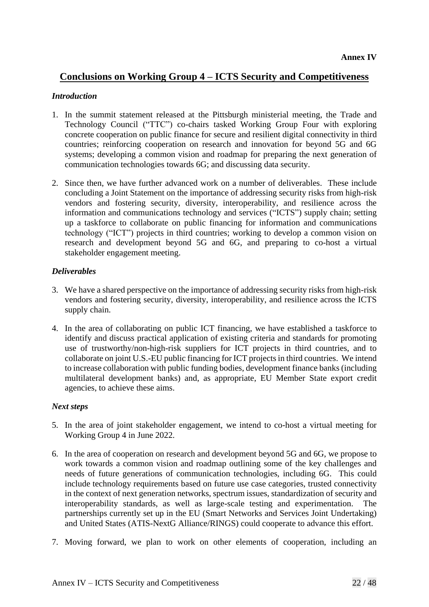# **Conclusions on Working Group 4 – ICTS Security and Competitiveness**

#### *Introduction*

- 1. In the summit statement released at the Pittsburgh ministerial meeting, the Trade and Technology Council ("TTC") co-chairs tasked Working Group Four with exploring concrete cooperation on public finance for secure and resilient digital connectivity in third countries; reinforcing cooperation on research and innovation for beyond 5G and 6G systems; developing a common vision and roadmap for preparing the next generation of communication technologies towards 6G; and discussing data security.
- 2. Since then, we have further advanced work on a number of deliverables. These include concluding a Joint Statement on the importance of addressing security risks from high-risk vendors and fostering security, diversity, interoperability, and resilience across the information and communications technology and services ("ICTS") supply chain; setting up a taskforce to collaborate on public financing for information and communications technology ("ICT") projects in third countries; working to develop a common vision on research and development beyond 5G and 6G, and preparing to co-host a virtual stakeholder engagement meeting.

#### *Deliverables*

- 3. We have a shared perspective on the importance of addressing security risks from high-risk vendors and fostering security, diversity, interoperability, and resilience across the ICTS supply chain.
- 4. In the area of collaborating on public ICT financing, we have established a taskforce to identify and discuss practical application of existing criteria and standards for promoting use of trustworthy/non-high-risk suppliers for ICT projects in third countries, and to collaborate on joint U.S.-EU public financing for ICT projects in third countries. We intend to increase collaboration with public funding bodies, development finance banks (including multilateral development banks) and, as appropriate, EU Member State export credit agencies, to achieve these aims.

## *Next steps*

- 5. In the area of joint stakeholder engagement, we intend to co-host a virtual meeting for Working Group 4 in June 2022.
- 6. In the area of cooperation on research and development beyond 5G and 6G, we propose to work towards a common vision and roadmap outlining some of the key challenges and needs of future generations of communication technologies, including 6G. This could include technology requirements based on future use case categories, trusted connectivity in the context of next generation networks, spectrum issues, standardization of security and interoperability standards, as well as large-scale testing and experimentation. The partnerships currently set up in the EU (Smart Networks and Services Joint Undertaking) and United States (ATIS-NextG Alliance/RINGS) could cooperate to advance this effort.
- 7. Moving forward, we plan to work on other elements of cooperation, including an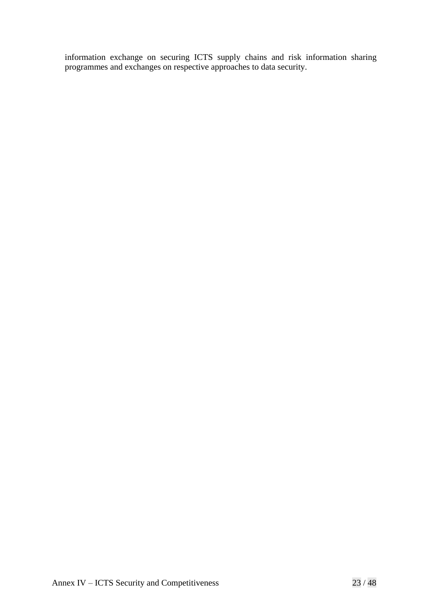information exchange on securing ICTS supply chains and risk information sharing programmes and exchanges on respective approaches to data security.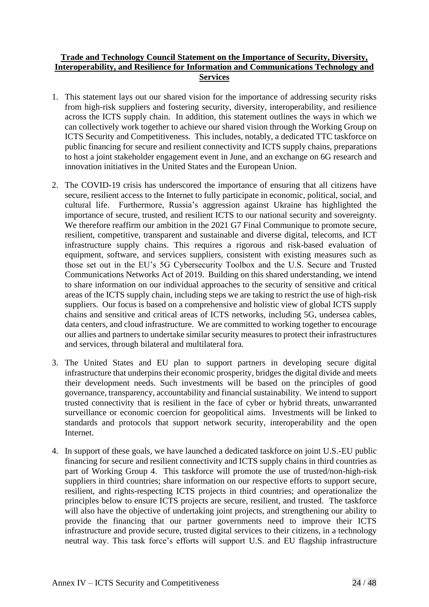#### **Trade and Technology Council Statement on the Importance of Security, Diversity, Interoperability, and Resilience for Information and Communications Technology and Services**

- 1. This statement lays out our shared vision for the importance of addressing security risks from high-risk suppliers and fostering security, diversity, interoperability, and resilience across the ICTS supply chain. In addition, this statement outlines the ways in which we can collectively work together to achieve our shared vision through the Working Group on ICTS Security and Competitiveness. This includes, notably, a dedicated TTC taskforce on public financing for secure and resilient connectivity and ICTS supply chains, preparations to host a joint stakeholder engagement event in June, and an exchange on 6G research and innovation initiatives in the United States and the European Union.
- 2. The COVID-19 crisis has underscored the importance of ensuring that all citizens have secure, resilient access to the Internet to fully participate in economic, political, social, and cultural life. Furthermore, Russia's aggression against Ukraine has highlighted the importance of secure, trusted, and resilient ICTS to our national security and sovereignty. We therefore reaffirm our ambition in the 2021 G7 Final Communique to promote secure, resilient, competitive, transparent and sustainable and diverse digital, telecoms, and ICT infrastructure supply chains. This requires a rigorous and risk-based evaluation of equipment, software, and services suppliers, consistent with existing measures such as those set out in the EU's 5G Cybersecurity Toolbox and the U.S. Secure and Trusted Communications Networks Act of 2019. Building on this shared understanding, we intend to share information on our individual approaches to the security of sensitive and critical areas of the ICTS supply chain, including steps we are taking to restrict the use of high-risk suppliers. Our focus is based on a comprehensive and holistic view of global ICTS supply chains and sensitive and critical areas of ICTS networks, including 5G, undersea cables, data centers, and cloud infrastructure. We are committed to working together to encourage our allies and partners to undertake similar security measures to protect their infrastructures and services, through bilateral and multilateral fora.
- 3. The United States and EU plan to support partners in developing secure digital infrastructure that underpins their economic prosperity, bridges the digital divide and meets their development needs. Such investments will be based on the principles of good governance, transparency, accountability and financial sustainability. We intend to support trusted connectivity that is resilient in the face of cyber or hybrid threats, unwarranted surveillance or economic coercion for geopolitical aims. Investments will be linked to standards and protocols that support network security, interoperability and the open Internet.
- 4. In support of these goals, we have launched a dedicated taskforce on joint U.S.-EU public financing for secure and resilient connectivity and ICTS supply chains in third countries as part of Working Group 4. This taskforce will promote the use of trusted/non-high-risk suppliers in third countries; share information on our respective efforts to support secure, resilient, and rights-respecting ICTS projects in third countries; and operationalize the principles below to ensure ICTS projects are secure, resilient, and trusted. The taskforce will also have the objective of undertaking joint projects, and strengthening our ability to provide the financing that our partner governments need to improve their ICTS infrastructure and provide secure, trusted digital services to their citizens, in a technology neutral way. This task force's efforts will support U.S. and EU flagship infrastructure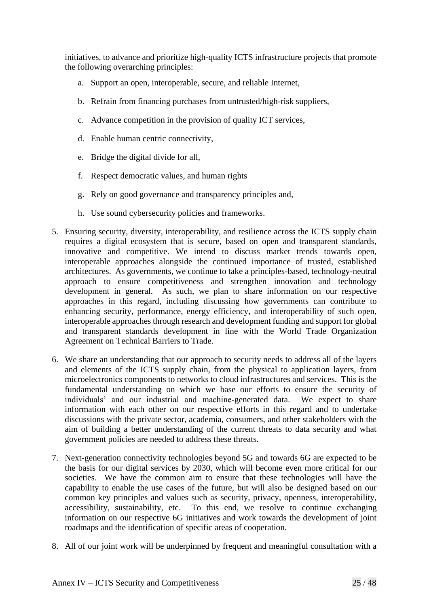initiatives, to advance and prioritize high-quality ICTS infrastructure projects that promote the following overarching principles:

- a. Support an open, interoperable, secure, and reliable Internet,
- b. Refrain from financing purchases from untrusted/high-risk suppliers,
- c. Advance competition in the provision of quality ICT services,
- d. Enable human centric connectivity,
- e. Bridge the digital divide for all,
- f. Respect democratic values, and human rights
- g. Rely on good governance and transparency principles and,
- h. Use sound cybersecurity policies and frameworks.
- 5. Ensuring security, diversity, interoperability, and resilience across the ICTS supply chain requires a digital ecosystem that is secure, based on open and transparent standards, innovative and competitive. We intend to discuss market trends towards open, interoperable approaches alongside the continued importance of trusted, established architectures. As governments, we continue to take a principles-based, technology-neutral approach to ensure competitiveness and strengthen innovation and technology development in general. As such, we plan to share information on our respective approaches in this regard, including discussing how governments can contribute to enhancing security, performance, energy efficiency, and interoperability of such open, interoperable approaches through research and development funding and support for global and transparent standards development in line with the World Trade Organization Agreement on Technical Barriers to Trade.
- 6. We share an understanding that our approach to security needs to address all of the layers and elements of the ICTS supply chain, from the physical to application layers, from microelectronics components to networks to cloud infrastructures and services. This is the fundamental understanding on which we base our efforts to ensure the security of individuals' and our industrial and machine-generated data. We expect to share information with each other on our respective efforts in this regard and to undertake discussions with the private sector, academia, consumers, and other stakeholders with the aim of building a better understanding of the current threats to data security and what government policies are needed to address these threats.
- 7. Next-generation connectivity technologies beyond 5G and towards 6G are expected to be the basis for our digital services by 2030, which will become even more critical for our societies. We have the common aim to ensure that these technologies will have the capability to enable the use cases of the future, but will also be designed based on our common key principles and values such as security, privacy, openness, interoperability, accessibility, sustainability, etc. To this end, we resolve to continue exchanging information on our respective 6G initiatives and work towards the development of joint roadmaps and the identification of specific areas of cooperation.
- 8. All of our joint work will be underpinned by frequent and meaningful consultation with a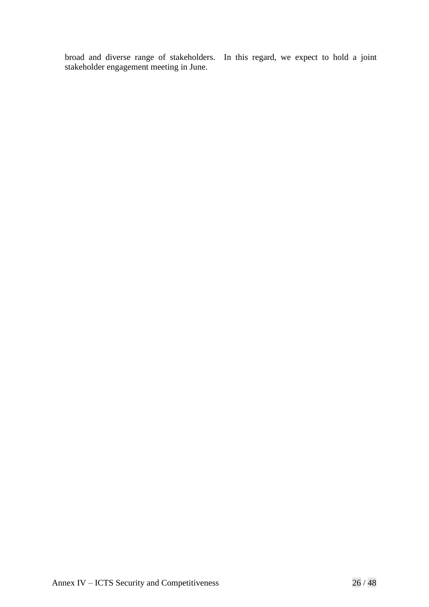broad and diverse range of stakeholders. In this regard, we expect to hold a joint stakeholder engagement meeting in June.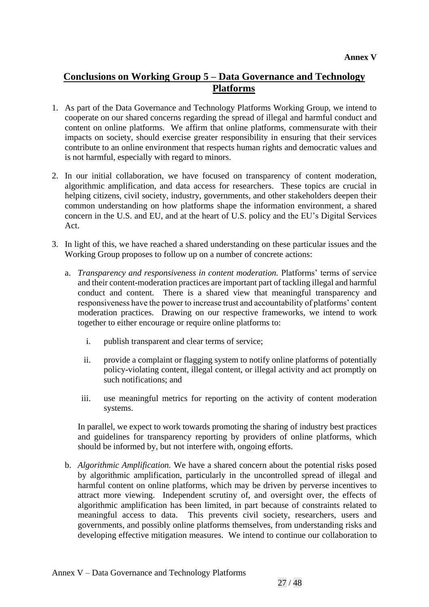# **Conclusions on Working Group 5 – Data Governance and Technology Platforms**

- 1. As part of the Data Governance and Technology Platforms Working Group, we intend to cooperate on our shared concerns regarding the spread of illegal and harmful conduct and content on online platforms. We affirm that online platforms, commensurate with their impacts on society, should exercise greater responsibility in ensuring that their services contribute to an online environment that respects human rights and democratic values and is not harmful, especially with regard to minors.
- 2. In our initial collaboration, we have focused on transparency of content moderation, algorithmic amplification, and data access for researchers. These topics are crucial in helping citizens, civil society, industry, governments, and other stakeholders deepen their common understanding on how platforms shape the information environment, a shared concern in the U.S. and EU, and at the heart of U.S. policy and the EU's Digital Services Act.
- 3. In light of this, we have reached a shared understanding on these particular issues and the Working Group proposes to follow up on a number of concrete actions:
	- a. *Transparency and responsiveness in content moderation.* Platforms' terms of service and their content-moderation practices are important part of tackling illegal and harmful conduct and content. There is a shared view that meaningful transparency and responsiveness have the power to increase trust and accountability of platforms' content moderation practices. Drawing on our respective frameworks, we intend to work together to either encourage or require online platforms to:
		- i. publish transparent and clear terms of service;
		- ii. provide a complaint or flagging system to notify online platforms of potentially policy-violating content, illegal content, or illegal activity and act promptly on such notifications; and
		- iii. use meaningful metrics for reporting on the activity of content moderation systems.

In parallel, we expect to work towards promoting the sharing of industry best practices and guidelines for transparency reporting by providers of online platforms, which should be informed by, but not interfere with, ongoing efforts.

b. *Algorithmic Amplification.* We have a shared concern about the potential risks posed by algorithmic amplification, particularly in the uncontrolled spread of illegal and harmful content on online platforms, which may be driven by perverse incentives to attract more viewing. Independent scrutiny of, and oversight over, the effects of algorithmic amplification has been limited, in part because of constraints related to meaningful access to data. This prevents civil society, researchers, users and governments, and possibly online platforms themselves, from understanding risks and developing effective mitigation measures. We intend to continue our collaboration to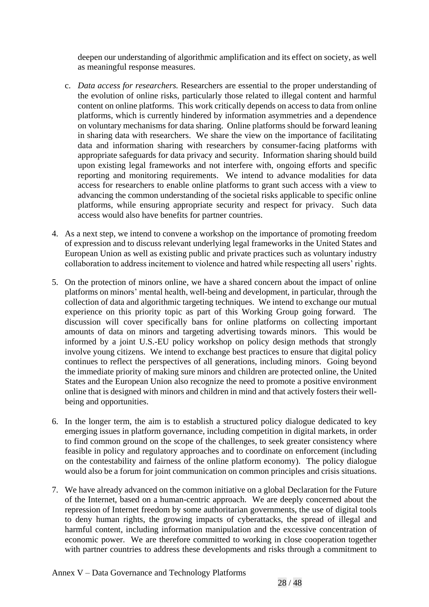deepen our understanding of algorithmic amplification and its effect on society, as well as meaningful response measures.

- c. *Data access for researchers.* Researchers are essential to the proper understanding of the evolution of online risks, particularly those related to illegal content and harmful content on online platforms. This work critically depends on access to data from online platforms, which is currently hindered by information asymmetries and a dependence on voluntary mechanisms for data sharing. Online platforms should be forward leaning in sharing data with researchers. We share the view on the importance of facilitating data and information sharing with researchers by consumer-facing platforms with appropriate safeguards for data privacy and security. Information sharing should build upon existing legal frameworks and not interfere with, ongoing efforts and specific reporting and monitoring requirements. We intend to advance modalities for data access for researchers to enable online platforms to grant such access with a view to advancing the common understanding of the societal risks applicable to specific online platforms, while ensuring appropriate security and respect for privacy. Such data access would also have benefits for partner countries.
- 4. As a next step, we intend to convene a workshop on the importance of promoting freedom of expression and to discuss relevant underlying legal frameworks in the United States and European Union as well as existing public and private practices such as voluntary industry collaboration to address incitement to violence and hatred while respecting all users' rights.
- 5. On the protection of minors online*,* we have a shared concern about the impact of online platforms on minors' mental health, well-being and development, in particular, through the collection of data and algorithmic targeting techniques. We intend to exchange our mutual experience on this priority topic as part of this Working Group going forward. The discussion will cover specifically bans for online platforms on collecting important amounts of data on minors and targeting advertising towards minors. This would be informed by a joint U.S.-EU policy workshop on policy design methods that strongly involve young citizens. We intend to exchange best practices to ensure that digital policy continues to reflect the perspectives of all generations, including minors. Going beyond the immediate priority of making sure minors and children are protected online, the United States and the European Union also recognize the need to promote a positive environment online that is designed with minors and children in mind and that actively fosters their wellbeing and opportunities.
- 6. In the longer term, the aim is to establish a structured policy dialogue dedicated to key emerging issues in platform governance, including competition in digital markets, in order to find common ground on the scope of the challenges, to seek greater consistency where feasible in policy and regulatory approaches and to coordinate on enforcement (including on the contestability and fairness of the online platform economy). The policy dialogue would also be a forum for joint communication on common principles and crisis situations.
- 7. We have already advanced on the common initiative on a global Declaration for the Future of the Internet, based on a human-centric approach. We are deeply concerned about the repression of Internet freedom by some authoritarian governments, the use of digital tools to deny human rights, the growing impacts of cyberattacks, the spread of illegal and harmful content, including information manipulation and the excessive concentration of economic power. We are therefore committed to working in close cooperation together with partner countries to address these developments and risks through a commitment to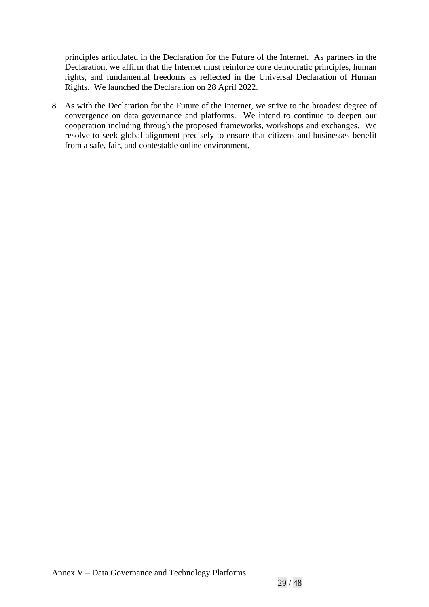principles articulated in the Declaration for the Future of the Internet. As partners in the Declaration, we affirm that the Internet must reinforce core democratic principles, human rights, and fundamental freedoms as reflected in the Universal Declaration of Human Rights. We launched the Declaration on 28 April 2022.

8. As with the Declaration for the Future of the Internet, we strive to the broadest degree of convergence on data governance and platforms. We intend to continue to deepen our cooperation including through the proposed frameworks, workshops and exchanges. We resolve to seek global alignment precisely to ensure that citizens and businesses benefit from a safe, fair, and contestable online environment.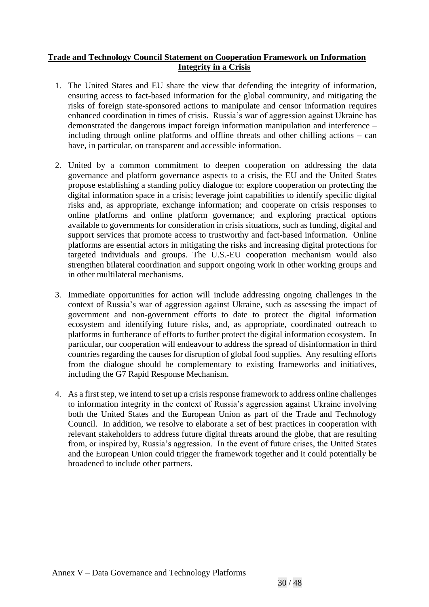## **Trade and Technology Council Statement on Cooperation Framework on Information Integrity in a Crisis**

- 1. The United States and EU share the view that defending the integrity of information, ensuring access to fact-based information for the global community, and mitigating the risks of foreign state-sponsored actions to manipulate and censor information requires enhanced coordination in times of crisis. Russia's war of aggression against Ukraine has demonstrated the dangerous impact foreign information manipulation and interference – including through online platforms and offline threats and other chilling actions – can have, in particular, on transparent and accessible information.
- 2. United by a common commitment to deepen cooperation on addressing the data governance and platform governance aspects to a crisis, the EU and the United States propose establishing a standing policy dialogue to: explore cooperation on protecting the  $\frac{1}{2}$  digital information space in a crisis; leverage joint capabilities to identify specific digital risks and, as appropriate, exchange information; and cooperate on crisis responses to online platforms and online platform governance; and exploring practical options available to governments for consideration in crisis situations, such as funding, digital and support services that promote access to trustworthy and fact-based information. Online platforms are essential actors in mitigating the risks and increasing digital protections for targeted individuals and groups. The U.S.-EU cooperation mechanism would also strengthen bilateral coordination and support ongoing work in other working groups and in other multilateral mechanisms.
- 3. Immediate opportunities for action will include addressing ongoing challenges in the context of Russia's war of aggression against Ukraine, such as assessing the impact of government and non-government efforts to date to protect the digital information ecosystem and identifying future risks, and, as appropriate, coordinated outreach to platforms in furtherance of efforts to further protect the digital information ecosystem. In particular, our cooperation will endeavour to address the spread of disinformation in third countries regarding the causes for disruption of global food supplies. Any resulting efforts from the dialogue should be complementary to existing frameworks and initiatives, including the G7 Rapid Response Mechanism.
- 4. As a first step, we intend to set up a crisis response framework to address online challenges to information integrity in the context of Russia's aggression against Ukraine involving both the United States and the European Union as part of the Trade and Technology Council. In addition, we resolve to elaborate a set of best practices in cooperation with relevant stakeholders to address future digital threats around the globe, that are resulting from, or inspired by, Russia's aggression. In the event of future crises, the United States and the European Union could trigger the framework together and it could potentially be broadened to include other partners.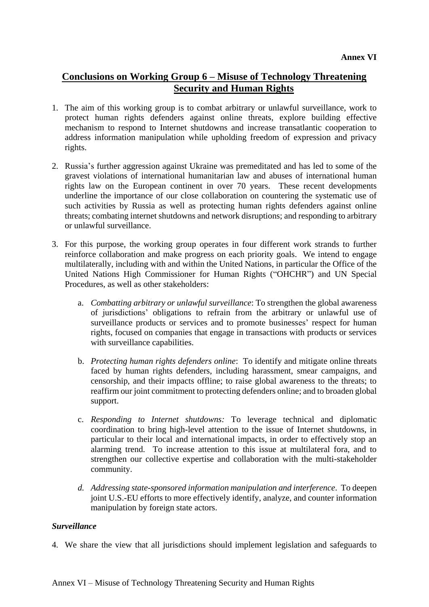# **Conclusions on Working Group 6 – Misuse of Technology Threatening Security and Human Rights**

- 1. The aim of this working group is to combat arbitrary or unlawful surveillance, work to protect human rights defenders against online threats, explore building effective mechanism to respond to Internet shutdowns and increase transatlantic cooperation to address information manipulation while upholding freedom of expression and privacy rights.
- 2. Russia's further aggression against Ukraine was premeditated and has led to some of the gravest violations of international humanitarian law and abuses of international human rights law on the European continent in over 70 years. These recent developments underline the importance of our close collaboration on countering the systematic use of such activities by Russia as well as protecting human rights defenders against online threats; combating internet shutdowns and network disruptions; and responding to arbitrary or unlawful surveillance.
- 3. For this purpose, the working group operates in four different work strands to further reinforce collaboration and make progress on each priority goals. We intend to engage multilaterally, including with and within the United Nations, in particular the Office of the United Nations High Commissioner for Human Rights ("OHCHR") and UN Special Procedures, as well as other stakeholders:
	- a. *Combatting arbitrary or unlawful surveillance*: To strengthen the global awareness of jurisdictions' obligations to refrain from the arbitrary or unlawful use of surveillance products or services and to promote businesses' respect for human rights, focused on companies that engage in transactions with products or services with surveillance capabilities.
	- b. *Protecting human rights defenders online*: To identify and mitigate online threats faced by human rights defenders, including harassment, smear campaigns, and censorship, and their impacts offline; to raise global awareness to the threats; to reaffirm our joint commitment to protecting defenders online; and to broaden global support.
	- c. *Responding to Internet shutdowns:* To leverage technical and diplomatic coordination to bring high-level attention to the issue of Internet shutdowns, in particular to their local and international impacts, in order to effectively stop an alarming trend. To increase attention to this issue at multilateral fora, and to strengthen our collective expertise and collaboration with the multi-stakeholder community.
	- *d. Addressing state-sponsored information manipulation and interference*. To deepen joint U.S.-EU efforts to more effectively identify, analyze, and counter information manipulation by foreign state actors.

## *Surveillance*

4. We share the view that all jurisdictions should implement legislation and safeguards to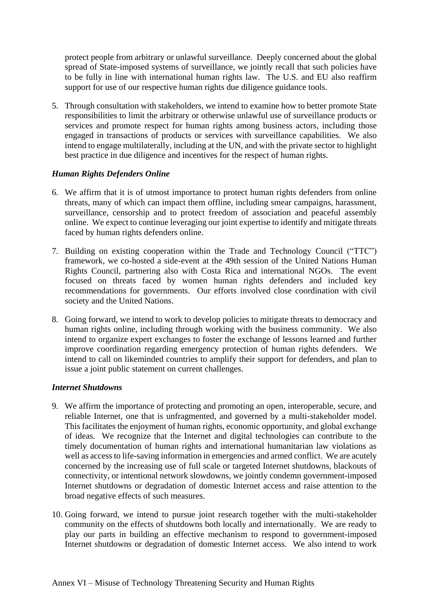protect people from arbitrary or unlawful surveillance. Deeply concerned about the global spread of State-imposed systems of surveillance, we jointly recall that such policies have to be fully in line with international human rights law. The U.S. and EU also reaffirm support for use of our respective human rights due diligence guidance tools.

5. Through consultation with stakeholders, we intend to examine how to better promote State responsibilities to limit the arbitrary or otherwise unlawful use of surveillance products or services and promote respect for human rights among business actors, including those engaged in transactions of products or services with surveillance capabilities. We also intend to engage multilaterally, including at the UN, and with the private sector to highlight best practice in due diligence and incentives for the respect of human rights.

## *Human Rights Defenders Online*

- 6. We affirm that it is of utmost importance to protect human rights defenders from online threats, many of which can impact them offline, including smear campaigns, harassment, surveillance, censorship and to protect freedom of association and peaceful assembly online. We expect to continue leveraging our joint expertise to identify and mitigate threats faced by human rights defenders online.
- 7. Building on existing cooperation within the Trade and Technology Council ("TTC") framework, we co-hosted a side-event at the 49th session of the United Nations Human Rights Council, partnering also with Costa Rica and international NGOs. The event focused on threats faced by women human rights defenders and included key recommendations for governments. Our efforts involved close coordination with civil society and the United Nations.
- 8. Going forward, we intend to work to develop policies to mitigate threats to democracy and human rights online, including through working with the business community. We also intend to organize expert exchanges to foster the exchange of lessons learned and further improve coordination regarding emergency protection of human rights defenders. We intend to call on likeminded countries to amplify their support for defenders, and plan to issue a joint public statement on current challenges.

## *Internet Shutdowns*

- 9. We affirm the importance of protecting and promoting an open, interoperable, secure, and reliable Internet, one that is unfragmented, and governed by a multi-stakeholder model. This facilitates the enjoyment of human rights, economic opportunity, and global exchange of ideas. We recognize that the Internet and digital technologies can contribute to the timely documentation of human rights and international humanitarian law violations as well as access to life-saving information in emergencies and armed conflict. We are acutely concerned by the increasing use of full scale or targeted Internet shutdowns, blackouts of connectivity, or intentional network slowdowns, we jointly condemn government-imposed Internet shutdowns or degradation of domestic Internet access and raise attention to the broad negative effects of such measures.
- 10. Going forward, we intend to pursue joint research together with the multi-stakeholder community on the effects of shutdowns both locally and internationally. We are ready to play our parts in building an effective mechanism to respond to government-imposed Internet shutdowns or degradation of domestic Internet access. We also intend to work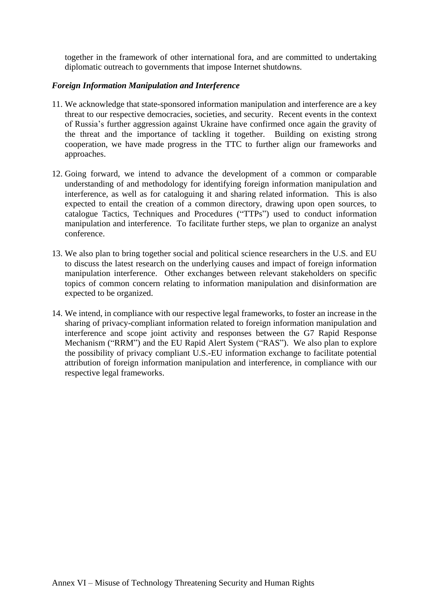together in the framework of other international fora, and are committed to undertaking diplomatic outreach to governments that impose Internet shutdowns.

#### *Foreign Information Manipulation and Interference*

- 11. We acknowledge that state-sponsored information manipulation and interference are a key threat to our respective democracies, societies, and security. Recent events in the context of Russia's further aggression against Ukraine have confirmed once again the gravity of the threat and the importance of tackling it together. Building on existing strong cooperation, we have made progress in the TTC to further align our frameworks and approaches.
- 12. Going forward, we intend to advance the development of a common or comparable understanding of and methodology for identifying foreign information manipulation and interference, as well as for cataloguing it and sharing related information. This is also expected to entail the creation of a common directory, drawing upon open sources, to catalogue Tactics, Techniques and Procedures ("TTPs") used to conduct information manipulation and interference. To facilitate further steps, we plan to organize an analyst conference.
- 13. We also plan to bring together social and political science researchers in the U.S. and EU to discuss the latest research on the underlying causes and impact of foreign information manipulation interference. Other exchanges between relevant stakeholders on specific topics of common concern relating to information manipulation and disinformation are expected to be organized.
- 14. We intend, in compliance with our respective legal frameworks, to foster an increase in the sharing of privacy-compliant information related to foreign information manipulation and interference and scope joint activity and responses between the G7 Rapid Response Mechanism ("RRM") and the EU Rapid Alert System ("RAS"). We also plan to explore the possibility of privacy compliant U.S.-EU information exchange to facilitate potential attribution of foreign information manipulation and interference, in compliance with our respective legal frameworks.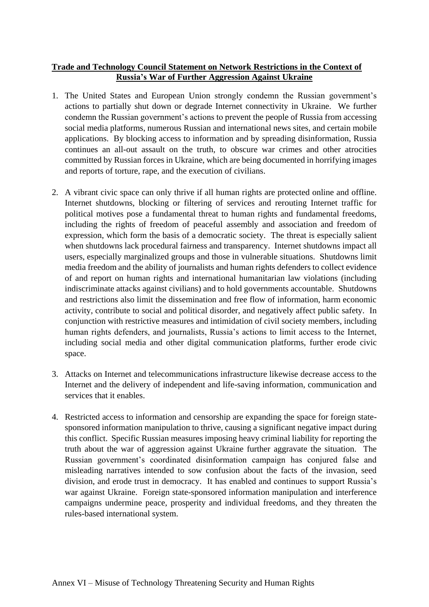## **Trade and Technology Council Statement on Network Restrictions in the Context of Russia's War of Further Aggression Against Ukraine**

- 1. The United States and European Union strongly condemn the Russian government's actions to partially shut down or degrade Internet connectivity in Ukraine. We further condemn the Russian government's actions to prevent the people of Russia from accessing social media platforms, numerous Russian and international news sites, and certain mobile applications. By blocking access to information and by spreading disinformation, Russia continues an all-out assault on the truth, to obscure war crimes and other atrocities committed by Russian forces in Ukraine, which are being documented in horrifying images and reports of torture, rape, and the execution of civilians.
- 2. A vibrant civic space can only thrive if all human rights are protected online and offline. Internet shutdowns, blocking or filtering of services and rerouting Internet traffic for political motives pose a fundamental threat to human rights and fundamental freedoms, including the rights of freedom of peaceful assembly and association and freedom of expression, which form the basis of a democratic society. The threat is especially salient when shutdowns lack procedural fairness and transparency. Internet shutdowns impact all users, especially marginalized groups and those in vulnerable situations. Shutdowns limit media freedom and the ability of journalists and human rights defenders to collect evidence of and report on human rights and international humanitarian law violations (including indiscriminate attacks against civilians) and to hold governments accountable. Shutdowns and restrictions also limit the dissemination and free flow of information, harm economic activity, contribute to social and political disorder, and negatively affect public safety. In conjunction with restrictive measures and intimidation of civil society members, including human rights defenders, and journalists, Russia's actions to limit access to the Internet, including social media and other digital communication platforms, further erode civic space.
- 3. Attacks on Internet and telecommunications infrastructure likewise decrease access to the Internet and the delivery of independent and life-saving information, communication and services that it enables.
- 4. Restricted access to information and censorship are expanding the space for foreign statesponsored information manipulation to thrive, causing a significant negative impact during this conflict. Specific Russian measures imposing heavy criminal liability for reporting the truth about the war of aggression against Ukraine further aggravate the situation. The Russian government's coordinated disinformation campaign has conjured false and misleading narratives intended to sow confusion about the facts of the invasion, seed division, and erode trust in democracy. It has enabled and continues to support Russia's war against Ukraine. Foreign state-sponsored information manipulation and interference campaigns undermine peace, prosperity and individual freedoms, and they threaten the rules-based international system.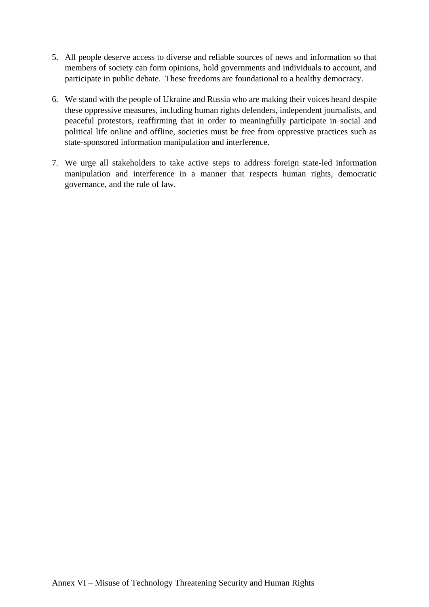- 5. All people deserve access to diverse and reliable sources of news and information so that members of society can form opinions, hold governments and individuals to account, and participate in public debate. These freedoms are foundational to a healthy democracy.
- 6. We stand with the people of Ukraine and Russia who are making their voices heard despite these oppressive measures, including human rights defenders, independent journalists, and peaceful protestors, reaffirming that in order to meaningfully participate in social and political life online and offline, societies must be free from oppressive practices such as state-sponsored information manipulation and interference.
- 7. We urge all stakeholders to take active steps to address foreign state-led information manipulation and interference in a manner that respects human rights, democratic governance, and the rule of law.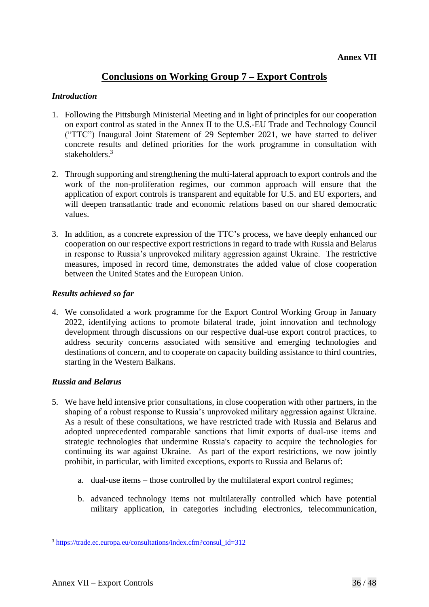## **Conclusions on Working Group 7 – Export Controls**

#### *Introduction*

- 1. Following the Pittsburgh Ministerial Meeting and in light of principles for our cooperation on export control as stated in the Annex II to the U.S.-EU Trade and Technology Council ("TTC") Inaugural Joint Statement of 29 September 2021, we have started to deliver concrete results and defined priorities for the work programme in consultation with stakeholders. 3
- 2. Through supporting and strengthening the multi-lateral approach to export controls and the work of the non-proliferation regimes, our common approach will ensure that the application of export controls is transparent and equitable for U.S. and EU exporters, and will deepen transatlantic trade and economic relations based on our shared democratic values.
- 3. In addition, as a concrete expression of the TTC's process, we have deeply enhanced our cooperation on our respective export restrictions in regard to trade with Russia and Belarus in response to Russia's unprovoked military aggression against Ukraine. The restrictive measures, imposed in record time, demonstrates the added value of close cooperation between the United States and the European Union.

#### *Results achieved so far*

4. We consolidated a work programme for the Export Control Working Group in January 2022, identifying actions to promote bilateral trade, joint innovation and technology development through discussions on our respective dual-use export control practices, to address security concerns associated with sensitive and emerging technologies and destinations of concern, and to cooperate on capacity building assistance to third countries, starting in the Western Balkans.

#### *Russia and Belarus*

- 5. We have held intensive prior consultations, in close cooperation with other partners, in the shaping of a robust response to Russia's unprovoked military aggression against Ukraine. As a result of these consultations, we have restricted trade with Russia and Belarus and adopted unprecedented comparable sanctions that limit exports of dual-use items and strategic technologies that undermine Russia's capacity to acquire the technologies for continuing its war against Ukraine. As part of the export restrictions, we now jointly prohibit, in particular, with limited exceptions, exports to Russia and Belarus of:
	- a. dual-use items those controlled by the multilateral export control regimes;
	- b. advanced technology items not multilaterally controlled which have potential military application, in categories including electronics, telecommunication,

<sup>3</sup> [https://trade.ec.europa.eu/consultations/index.cfm?consul\\_id=312](https://trade.ec.europa.eu/consultations/index.cfm?consul_id=312)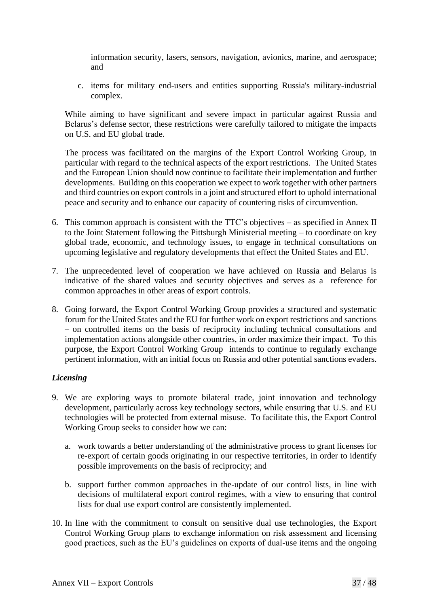information security, lasers, sensors, navigation, avionics, marine, and aerospace; and

c. items for military end-users and entities supporting Russia's military-industrial complex.

While aiming to have significant and severe impact in particular against Russia and Belarus's defense sector, these restrictions were carefully tailored to mitigate the impacts on U.S. and EU global trade.

The process was facilitated on the margins of the Export Control Working Group, in particular with regard to the technical aspects of the export restrictions. The United States and the European Union should now continue to facilitate their implementation and further developments. Building on this cooperation we expect to work together with other partners and third countries on export controls in a joint and structured effort to uphold international peace and security and to enhance our capacity of countering risks of circumvention.

- 6. This common approach is consistent with the TTC's objectives as specified in Annex II to the Joint Statement following the Pittsburgh Ministerial meeting – to coordinate on key global trade, economic, and technology issues, to engage in technical consultations on upcoming legislative and regulatory developments that effect the United States and EU.
- 7. The unprecedented level of cooperation we have achieved on Russia and Belarus is indicative of the shared values and security objectives and serves as a reference for common approaches in other areas of export controls.
- 8. Going forward, the Export Control Working Group provides a structured and systematic forum for the United States and the EU for further work on export restrictions and sanctions – on controlled items on the basis of reciprocity including technical consultations and implementation actions alongside other countries, in order maximize their impact. To this purpose, the Export Control Working Group intends to continue to regularly exchange pertinent information, with an initial focus on Russia and other potential sanctions evaders.

## *Licensing*

- 9. We are exploring ways to promote bilateral trade, joint innovation and technology development, particularly across key technology sectors, while ensuring that U.S. and EU technologies will be protected from external misuse. To facilitate this, the Export Control Working Group seeks to consider how we can:
	- a. work towards a better understanding of the administrative process to grant licenses for re-export of certain goods originating in our respective territories, in order to identify possible improvements on the basis of reciprocity; and
	- b. support further common approaches in the-update of our control lists, in line with decisions of multilateral export control regimes, with a view to ensuring that control lists for dual use export control are consistently implemented.
- 10. In line with the commitment to consult on sensitive dual use technologies, the Export Control Working Group plans to exchange information on risk assessment and licensing good practices, such as the EU's guidelines on exports of dual-use items and the ongoing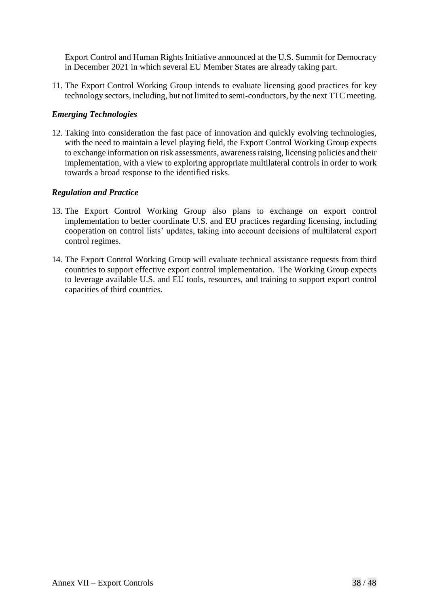Export Control and Human Rights Initiative announced at the U.S. Summit for Democracy in December 2021 in which several EU Member States are already taking part.

11. The Export Control Working Group intends to evaluate licensing good practices for key technology sectors, including, but not limited to semi-conductors, by the next TTC meeting.

## *Emerging Technologies*

12. Taking into consideration the fast pace of innovation and quickly evolving technologies, with the need to maintain a level playing field, the Export Control Working Group expects to exchange information on risk assessments, awareness raising, licensing policies and their implementation, with a view to exploring appropriate multilateral controls in order to work towards a broad response to the identified risks.

#### *Regulation and Practice*

- 13. The Export Control Working Group also plans to exchange on export control implementation to better coordinate U.S. and EU practices regarding licensing, including cooperation on control lists' updates, taking into account decisions of multilateral export control regimes.
- 14. The Export Control Working Group will evaluate technical assistance requests from third countries to support effective export control implementation. The Working Group expects to leverage available U.S. and EU tools, resources, and training to support export control capacities of third countries.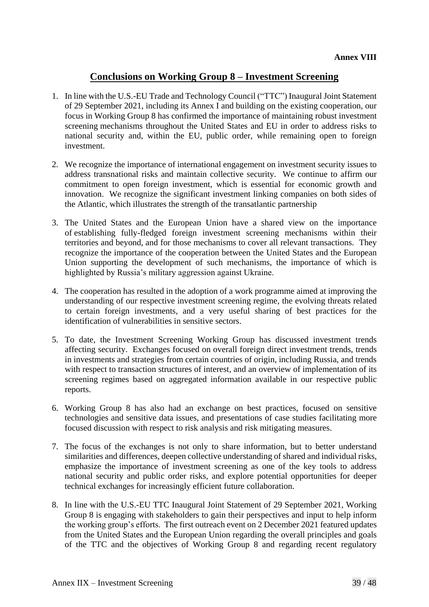## **Conclusions on Working Group 8 – Investment Screening**

- 1. In line with the U.S.-EU Trade and Technology Council ("TTC") Inaugural Joint Statement of 29 September 2021, including its Annex I and building on the existing cooperation, our focus in Working Group 8 has confirmed the importance of maintaining robust investment screening mechanisms throughout the United States and EU in order to address risks to national security and, within the EU, public order, while remaining open to foreign investment.
- 2. We recognize the importance of international engagement on investment security issues to address transnational risks and maintain collective security. We continue to affirm our commitment to open foreign investment, which is essential for economic growth and innovation. We recognize the significant investment linking companies on both sides of the Atlantic, which illustrates the strength of the transatlantic partnership
- 3. The United States and the European Union have a shared view on the importance of establishing fully-fledged foreign investment screening mechanisms within their territories and beyond, and for those mechanisms to cover all relevant transactions. They recognize the importance of the cooperation between the United States and the European Union supporting the development of such mechanisms, the importance of which is highlighted by Russia's military aggression against Ukraine.
- 4. The cooperation has resulted in the adoption of a work programme aimed at improving the understanding of our respective investment screening regime, the evolving threats related to certain foreign investments, and a very useful sharing of best practices for the identification of vulnerabilities in sensitive sectors.
- 5. To date, the Investment Screening Working Group has discussed investment trends affecting security. Exchanges focused on overall foreign direct investment trends, trends in investments and strategies from certain countries of origin, including Russia, and trends with respect to transaction structures of interest, and an overview of implementation of its screening regimes based on aggregated information available in our respective public reports.
- 6. Working Group 8 has also had an exchange on best practices, focused on sensitive technologies and sensitive data issues, and presentations of case studies facilitating more focused discussion with respect to risk analysis and risk mitigating measures.
- 7. The focus of the exchanges is not only to share information, but to better understand similarities and differences, deepen collective understanding of shared and individual risks, emphasize the importance of investment screening as one of the key tools to address national security and public order risks, and explore potential opportunities for deeper technical exchanges for increasingly efficient future collaboration.
- 8. In line with the U.S.-EU TTC Inaugural Joint Statement of 29 September 2021, Working Group 8 is engaging with stakeholders to gain their perspectives and input to help inform the working group's efforts. The first outreach event on 2 December 2021 featured updates from the United States and the European Union regarding the overall principles and goals of the TTC and the objectives of Working Group 8 and regarding recent regulatory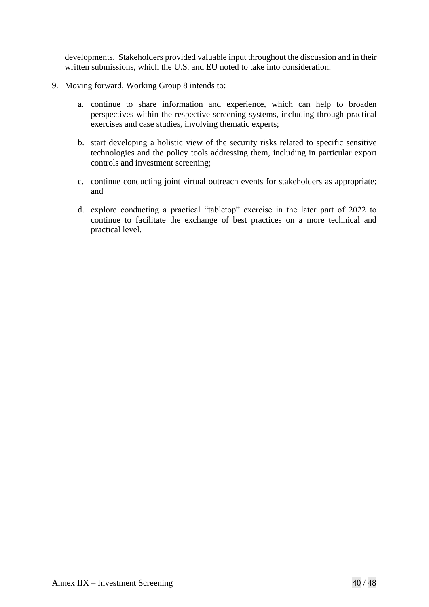developments. Stakeholders provided valuable input throughout the discussion and in their written submissions, which the U.S. and EU noted to take into consideration.

- 9. Moving forward, Working Group 8 intends to:
	- a. continue to share information and experience, which can help to broaden perspectives within the respective screening systems, including through practical exercises and case studies, involving thematic experts;
	- b. start developing a holistic view of the security risks related to specific sensitive technologies and the policy tools addressing them, including in particular export controls and investment screening;
	- c. continue conducting joint virtual outreach events for stakeholders as appropriate; and
	- d. explore conducting a practical "tabletop" exercise in the later part of 2022 to continue to facilitate the exchange of best practices on a more technical and practical level.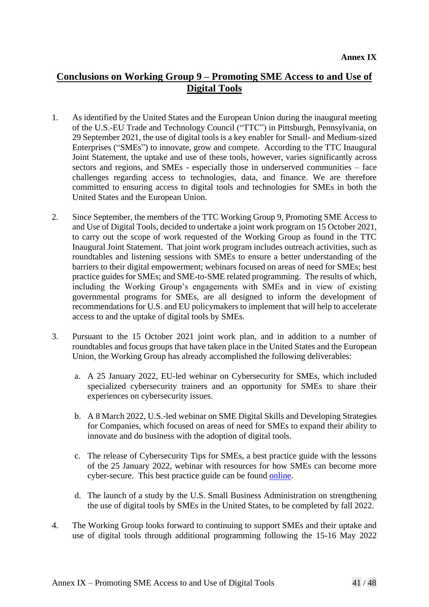# **Conclusions on Working Group 9 – Promoting SME Access to and Use of Digital Tools**

- 1. As identified by the United States and the European Union during the inaugural meeting of the U.S.-EU Trade and Technology Council ("TTC") in Pittsburgh, Pennsylvania, on 29 September 2021, the use of digital tools is a key enabler for Small- and Medium-sized Enterprises ("SMEs") to innovate, grow and compete. According to the TTC Inaugural Joint Statement, the uptake and use of these tools, however, varies significantly across sectors and regions, and SMEs - especially those in underserved communities – face challenges regarding access to technologies, data, and finance. We are therefore committed to ensuring access to digital tools and technologies for SMEs in both the United States and the European Union.
- 2. Since September, the members of the TTC Working Group 9, Promoting SME Access to and Use of Digital Tools, decided to undertake a joint work program on 15 October 2021, to carry out the scope of work requested of the Working Group as found in the TTC Inaugural Joint Statement. That joint work program includes outreach activities, such as roundtables and listening sessions with SMEs to ensure a better understanding of the barriers to their digital empowerment; webinars focused on areas of need for SMEs; best practice guides for SMEs; and SME-to-SME related programming. The results of which, including the Working Group's engagements with SMEs and in view of existing governmental programs for SMEs, are all designed to inform the development of recommendations for U.S. and EU policymakers to implement that will help to accelerate access to and the uptake of digital tools by SMEs.
- 3. Pursuant to the 15 October 2021 joint work plan, and in addition to a number of roundtables and focus groups that have taken place in the United States and the European Union, the Working Group has already accomplished the following deliverables:
	- a. A 25 January 2022, EU-led webinar on Cybersecurity for SMEs, which included specialized cybersecurity trainers and an opportunity for SMEs to share their experiences on cybersecurity issues.
	- b. A 8 March 2022, U.S.-led webinar on SME Digital Skills and Developing Strategies for Companies, which focused on areas of need for SMEs to expand their ability to innovate and do business with the adoption of digital tools.
	- c. The release of Cybersecurity Tips for SMEs, a best practice guide with the lessons of the 25 January 2022, webinar with resources for how SMEs can become more cyber-secure. This best practice guide can be found [online.](https://www.trade.gov/useuttc-cybersecurity)
	- d. The launch of a study by the U.S. Small Business Administration on strengthening the use of digital tools by SMEs in the United States, to be completed by fall 2022.
- 4. The Working Group looks forward to continuing to support SMEs and their uptake and use of digital tools through additional programming following the 15-16 May 2022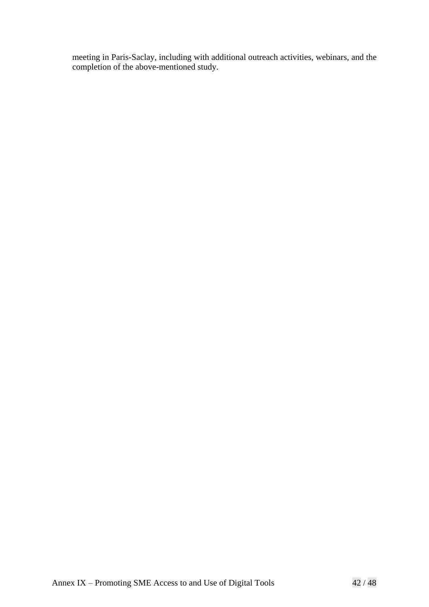meeting in Paris-Saclay, including with additional outreach activities, webinars, and the completion of the above-mentioned study.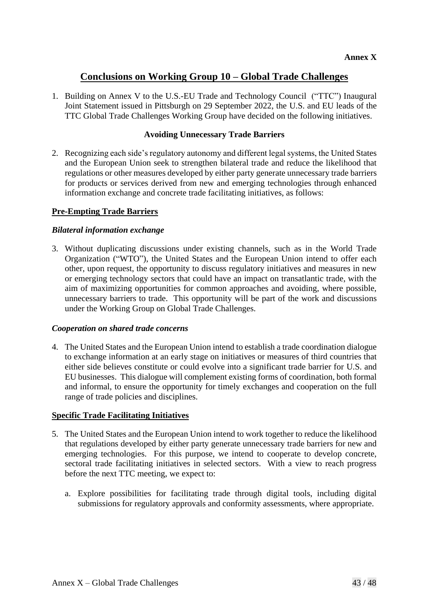## **Conclusions on Working Group 10 – Global Trade Challenges**

1. Building on Annex V to the U.S.-EU Trade and Technology Council ("TTC") Inaugural Joint Statement issued in Pittsburgh on 29 September 2022, the U.S. and EU leads of the TTC Global Trade Challenges Working Group have decided on the following initiatives.

## **Avoiding Unnecessary Trade Barriers**

2. Recognizing each side's regulatory autonomy and different legal systems, the United States and the European Union seek to strengthen bilateral trade and reduce the likelihood that regulations or other measures developed by either party generate unnecessary trade barriers for products or services derived from new and emerging technologies through enhanced information exchange and concrete trade facilitating initiatives, as follows:

#### **Pre-Empting Trade Barriers**

#### *Bilateral information exchange*

3. Without duplicating discussions under existing channels, such as in the World Trade Organization ("WTO"), the United States and the European Union intend to offer each other, upon request, the opportunity to discuss regulatory initiatives and measures in new or emerging technology sectors that could have an impact on transatlantic trade, with the aim of maximizing opportunities for common approaches and avoiding, where possible, unnecessary barriers to trade. This opportunity will be part of the work and discussions under the Working Group on Global Trade Challenges.

#### *Cooperation on shared trade concerns*

4. The United States and the European Union intend to establish a trade coordination dialogue to exchange information at an early stage on initiatives or measures of third countries that either side believes constitute or could evolve into a significant trade barrier for U.S. and EU businesses. This dialogue will complement existing forms of coordination, both formal and informal, to ensure the opportunity for timely exchanges and cooperation on the full range of trade policies and disciplines.

#### **Specific Trade Facilitating Initiatives**

- 5. The United States and the European Union intend to work together to reduce the likelihood that regulations developed by either party generate unnecessary trade barriers for new and emerging technologies. For this purpose, we intend to cooperate to develop concrete, sectoral trade facilitating initiatives in selected sectors. With a view to reach progress before the next TTC meeting, we expect to:
	- a. Explore possibilities for facilitating trade through digital tools, including digital submissions for regulatory approvals and conformity assessments, where appropriate.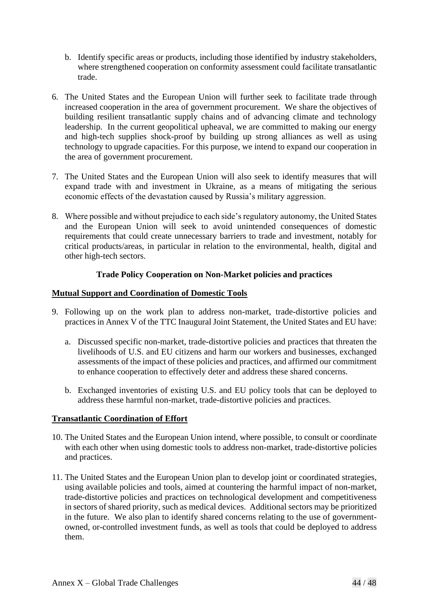- b. Identify specific areas or products, including those identified by industry stakeholders, where strengthened cooperation on conformity assessment could facilitate transatlantic trade.
- 6. The United States and the European Union will further seek to facilitate trade through increased cooperation in the area of government procurement. We share the objectives of building resilient transatlantic supply chains and of advancing climate and technology leadership. In the current geopolitical upheaval, we are committed to making our energy and high-tech supplies shock-proof by building up strong alliances as well as using technology to upgrade capacities. For this purpose, we intend to expand our cooperation in the area of government procurement.
- 7. The United States and the European Union will also seek to identify measures that will expand trade with and investment in Ukraine, as a means of mitigating the serious economic effects of the devastation caused by Russia's military aggression.
- 8. Where possible and without prejudice to each side's regulatory autonomy, the United States and the European Union will seek to avoid unintended consequences of domestic requirements that could create unnecessary barriers to trade and investment, notably for critical products/areas, in particular in relation to the environmental, health, digital and other high-tech sectors.

## **Trade Policy Cooperation on Non-Market policies and practices**

## **Mutual Support and Coordination of Domestic Tools**

- 9. Following up on the work plan to address non-market, trade-distortive policies and practices in Annex V of the TTC Inaugural Joint Statement, the United States and EU have:
	- a. Discussed specific non-market, trade-distortive policies and practices that threaten the livelihoods of U.S. and EU citizens and harm our workers and businesses, exchanged assessments of the impact of these policies and practices, and affirmed our commitment to enhance cooperation to effectively deter and address these shared concerns.
	- b. Exchanged inventories of existing U.S. and EU policy tools that can be deployed to address these harmful non-market, trade-distortive policies and practices.

## **Transatlantic Coordination of Effort**

- 10. The United States and the European Union intend, where possible, to consult or coordinate with each other when using domestic tools to address non-market, trade-distortive policies and practices.
- 11. The United States and the European Union plan to develop joint or coordinated strategies, using available policies and tools, aimed at countering the harmful impact of non-market, trade-distortive policies and practices on technological development and competitiveness in sectors of shared priority, such as medical devices. Additional sectors may be prioritized in the future. We also plan to identify shared concerns relating to the use of governmentowned, or-controlled investment funds, as well as tools that could be deployed to address them.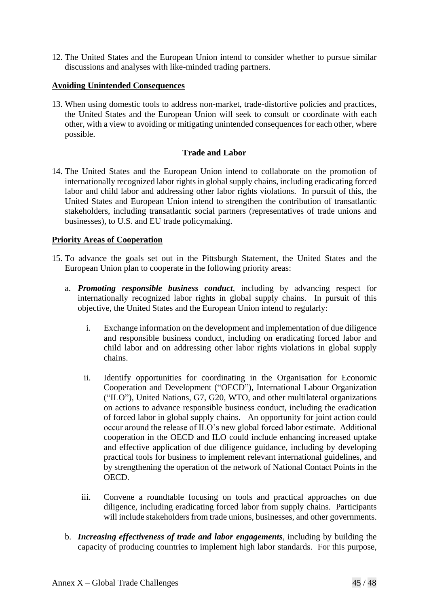12. The United States and the European Union intend to consider whether to pursue similar discussions and analyses with like-minded trading partners.

#### **Avoiding Unintended Consequences**

13. When using domestic tools to address non-market, trade-distortive policies and practices, the United States and the European Union will seek to consult or coordinate with each other, with a view to avoiding or mitigating unintended consequences for each other, where possible.

#### **Trade and Labor**

14. The United States and the European Union intend to collaborate on the promotion of internationally recognized labor rights in global supply chains, including eradicating forced labor and child labor and addressing other labor rights violations. In pursuit of this, the United States and European Union intend to strengthen the contribution of transatlantic stakeholders, including transatlantic social partners (representatives of trade unions and businesses), to U.S. and EU trade policymaking.

## **Priority Areas of Cooperation**

- 15. To advance the goals set out in the Pittsburgh Statement, the United States and the European Union plan to cooperate in the following priority areas:
	- a. *Promoting responsible business conduct*, including by advancing respect for internationally recognized labor rights in global supply chains. In pursuit of this objective, the United States and the European Union intend to regularly:
		- i. Exchange information on the development and implementation of due diligence and responsible business conduct, including on eradicating forced labor and child labor and on addressing other labor rights violations in global supply chains.
		- ii. Identify opportunities for coordinating in the Organisation for Economic Cooperation and Development ("OECD"), International Labour Organization ("ILO"), United Nations, G7, G20, WTO, and other multilateral organizations on actions to advance responsible business conduct, including the eradication of forced labor in global supply chains. An opportunity for joint action could occur around the release of ILO's new global forced labor estimate. Additional cooperation in the OECD and ILO could include enhancing increased uptake and effective application of due diligence guidance, including by developing practical tools for business to implement relevant international guidelines, and by strengthening the operation of the network of National Contact Points in the OECD.
		- iii. Convene a roundtable focusing on tools and practical approaches on due diligence, including eradicating forced labor from supply chains. Participants will include stakeholders from trade unions, businesses, and other governments.
	- b. *Increasing effectiveness of trade and labor engagements*, including by building the capacity of producing countries to implement high labor standards. For this purpose,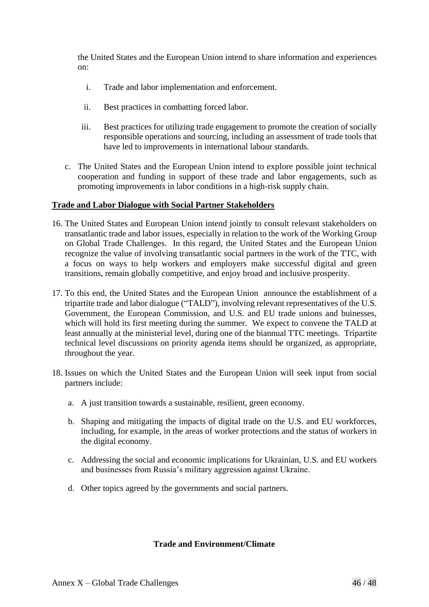the United States and the European Union intend to share information and experiences on:

- i. Trade and labor implementation and enforcement.
- ii. Best practices in combatting forced labor.
- iii. Best practices for utilizing trade engagement to promote the creation of socially responsible operations and sourcing, including an assessment of trade tools that have led to improvements in international labour standards.
- c. The United States and the European Union intend to explore possible joint technical cooperation and funding in support of these trade and labor engagements, such as promoting improvements in labor conditions in a high-risk supply chain.

#### **Trade and Labor Dialogue with Social Partner Stakeholders**

- 16. The United States and European Union intend jointly to consult relevant stakeholders on transatlantic trade and labor issues, especially in relation to the work of the Working Group on Global Trade Challenges. In this regard, the United States and the European Union recognize the value of involving transatlantic social partners in the work of the TTC, with a focus on ways to help workers and employers make successful digital and green transitions, remain globally competitive, and enjoy broad and inclusive prosperity.
- 17. To this end, the United States and the European Union announce the establishment of a tripartite trade and labor dialogue ("TALD"), involving relevant representatives of the U.S. Government, the European Commission, and U.S. and EU trade unions and buinesses, which will hold its first meeting during the summer. We expect to convene the TALD at least annually at the ministerial level, during one of the biannual TTC meetings. Tripartite technical level discussions on priority agenda items should be organized, as appropriate, throughout the year.
- 18. Issues on which the United States and the European Union will seek input from social partners include:
	- a. A just transition towards a sustainable, resilient, green economy.
	- b. Shaping and mitigating the impacts of digital trade on the U.S. and EU workforces, including, for example, in the areas of worker protections and the status of workers in the digital economy.
	- c. Addressing the social and economic implications for Ukrainian, U.S. and EU workers and businesses from Russia's military aggression against Ukraine.
	- d. Other topics agreed by the governments and social partners.

#### **Trade and Environment/Climate**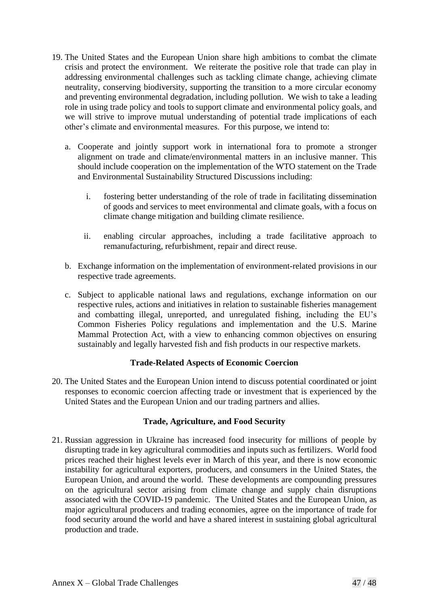- 19. The United States and the European Union share high ambitions to combat the climate crisis and protect the environment. We reiterate the positive role that trade can play in addressing environmental challenges such as tackling climate change, achieving climate neutrality, conserving biodiversity, supporting the transition to a more circular economy and preventing environmental degradation, including pollution. We wish to take a leading role in using trade policy and tools to support climate and environmental policy goals, and we will strive to improve mutual understanding of potential trade implications of each other's climate and environmental measures. For this purpose, we intend to:
	- a. Cooperate and jointly support work in international fora to promote a stronger alignment on trade and climate/environmental matters in an inclusive manner. This should include cooperation on the implementation of the WTO statement on the Trade and Environmental Sustainability Structured Discussions including:
		- i. fostering better understanding of the role of trade in facilitating dissemination of goods and services to meet environmental and climate goals, with a focus on climate change mitigation and building climate resilience.
		- ii. enabling circular approaches, including a trade facilitative approach to remanufacturing, refurbishment, repair and direct reuse.
	- b. Exchange information on the implementation of environment-related provisions in our respective trade agreements.
	- c. Subject to applicable national laws and regulations, exchange information on our respective rules, actions and initiatives in relation to sustainable fisheries management and combatting illegal, unreported, and unregulated fishing, including the EU's Common Fisheries Policy regulations and implementation and the U.S. Marine Mammal Protection Act, with a view to enhancing common objectives on ensuring sustainably and legally harvested fish and fish products in our respective markets.

## **Trade-Related Aspects of Economic Coercion**

20. The United States and the European Union intend to discuss potential coordinated or joint responses to economic coercion affecting trade or investment that is experienced by the United States and the European Union and our trading partners and allies.

## **Trade, Agriculture, and Food Security**

21. Russian aggression in Ukraine has increased food insecurity for millions of people by disrupting trade in key agricultural commodities and inputs such as fertilizers. World food prices reached their highest levels ever in March of this year, and there is now economic instability for agricultural exporters, producers, and consumers in the United States, the European Union, and around the world. These developments are compounding pressures on the agricultural sector arising from climate change and supply chain disruptions associated with the COVID-19 pandemic. The United States and the European Union, as major agricultural producers and trading economies, agree on the importance of trade for food security around the world and have a shared interest in sustaining global agricultural production and trade.